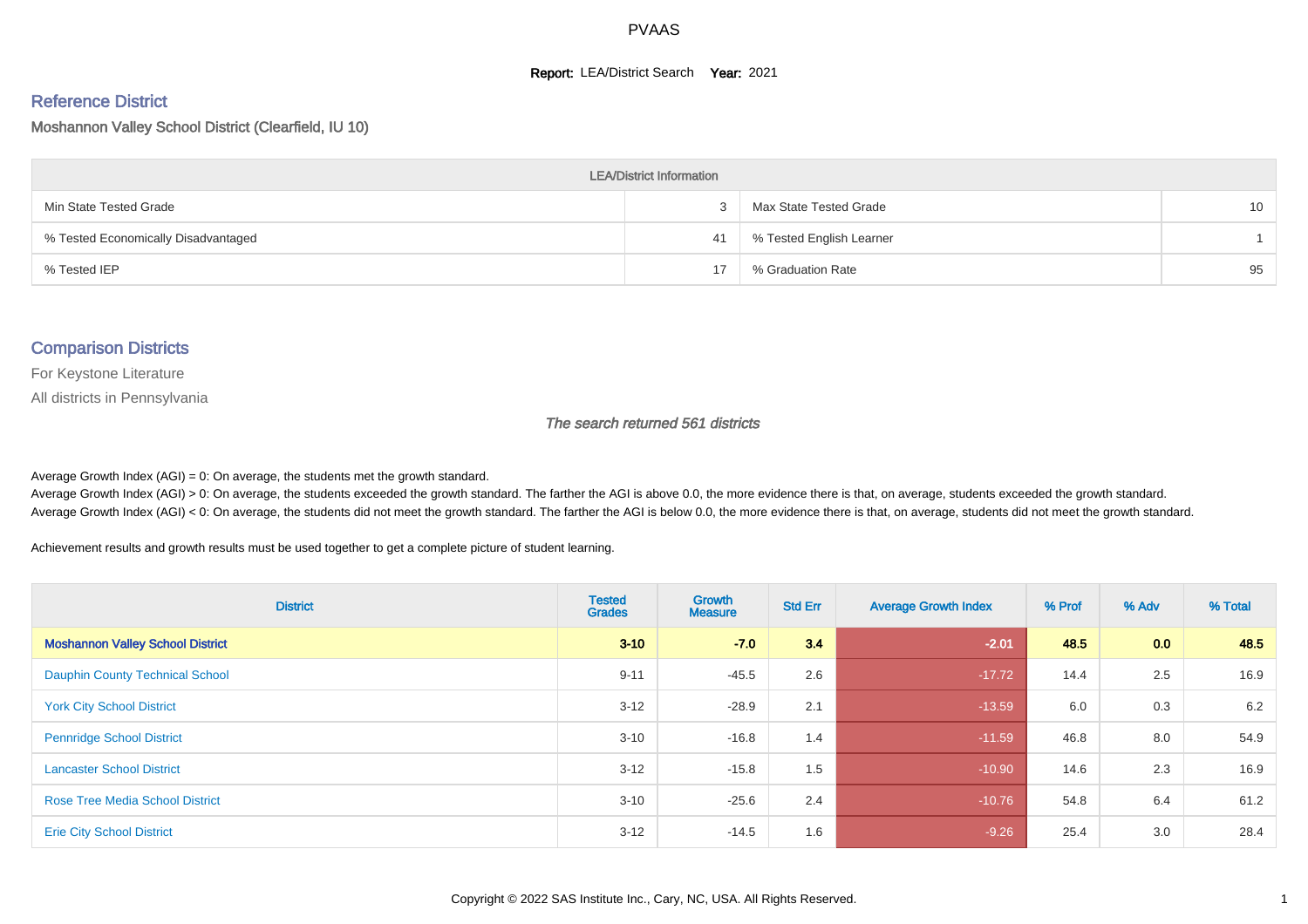#### **Report: LEA/District Search Year: 2021**

# Reference District

Moshannon Valley School District (Clearfield, IU 10)

| <b>LEA/District Information</b>     |    |                          |    |  |  |  |  |  |  |  |
|-------------------------------------|----|--------------------------|----|--|--|--|--|--|--|--|
| Min State Tested Grade              |    | Max State Tested Grade   | 10 |  |  |  |  |  |  |  |
| % Tested Economically Disadvantaged | 41 | % Tested English Learner |    |  |  |  |  |  |  |  |
| % Tested IEP                        | 17 | % Graduation Rate        | 95 |  |  |  |  |  |  |  |

#### Comparison Districts

For Keystone Literature

All districts in Pennsylvania

The search returned 561 districts

Average Growth Index  $(AGI) = 0$ : On average, the students met the growth standard.

Average Growth Index (AGI) > 0: On average, the students exceeded the growth standard. The farther the AGI is above 0.0, the more evidence there is that, on average, students exceeded the growth standard. Average Growth Index (AGI) < 0: On average, the students did not meet the growth standard. The farther the AGI is below 0.0, the more evidence there is that, on average, students did not meet the growth standard.

Achievement results and growth results must be used together to get a complete picture of student learning.

| <b>District</b>                         | <b>Tested</b><br><b>Grades</b> | <b>Growth</b><br><b>Measure</b> | <b>Std Err</b> | <b>Average Growth Index</b> | % Prof | % Adv | % Total |
|-----------------------------------------|--------------------------------|---------------------------------|----------------|-----------------------------|--------|-------|---------|
| <b>Moshannon Valley School District</b> | $3 - 10$                       | $-7.0$                          | 3.4            | $-2.01$                     | 48.5   | 0.0   | 48.5    |
| <b>Dauphin County Technical School</b>  | $9 - 11$                       | $-45.5$                         | 2.6            | $-17.72$                    | 14.4   | 2.5   | 16.9    |
| <b>York City School District</b>        | $3 - 12$                       | $-28.9$                         | 2.1            | $-13.59$                    | 6.0    | 0.3   | 6.2     |
| <b>Pennridge School District</b>        | $3 - 10$                       | $-16.8$                         | 1.4            | $-11.59$                    | 46.8   | 8.0   | 54.9    |
| <b>Lancaster School District</b>        | $3 - 12$                       | $-15.8$                         | 1.5            | $-10.90$                    | 14.6   | 2.3   | 16.9    |
| <b>Rose Tree Media School District</b>  | $3 - 10$                       | $-25.6$                         | 2.4            | $-10.76$                    | 54.8   | 6.4   | 61.2    |
| <b>Erie City School District</b>        | $3-12$                         | $-14.5$                         | 1.6            | $-9.26$                     | 25.4   | 3.0   | 28.4    |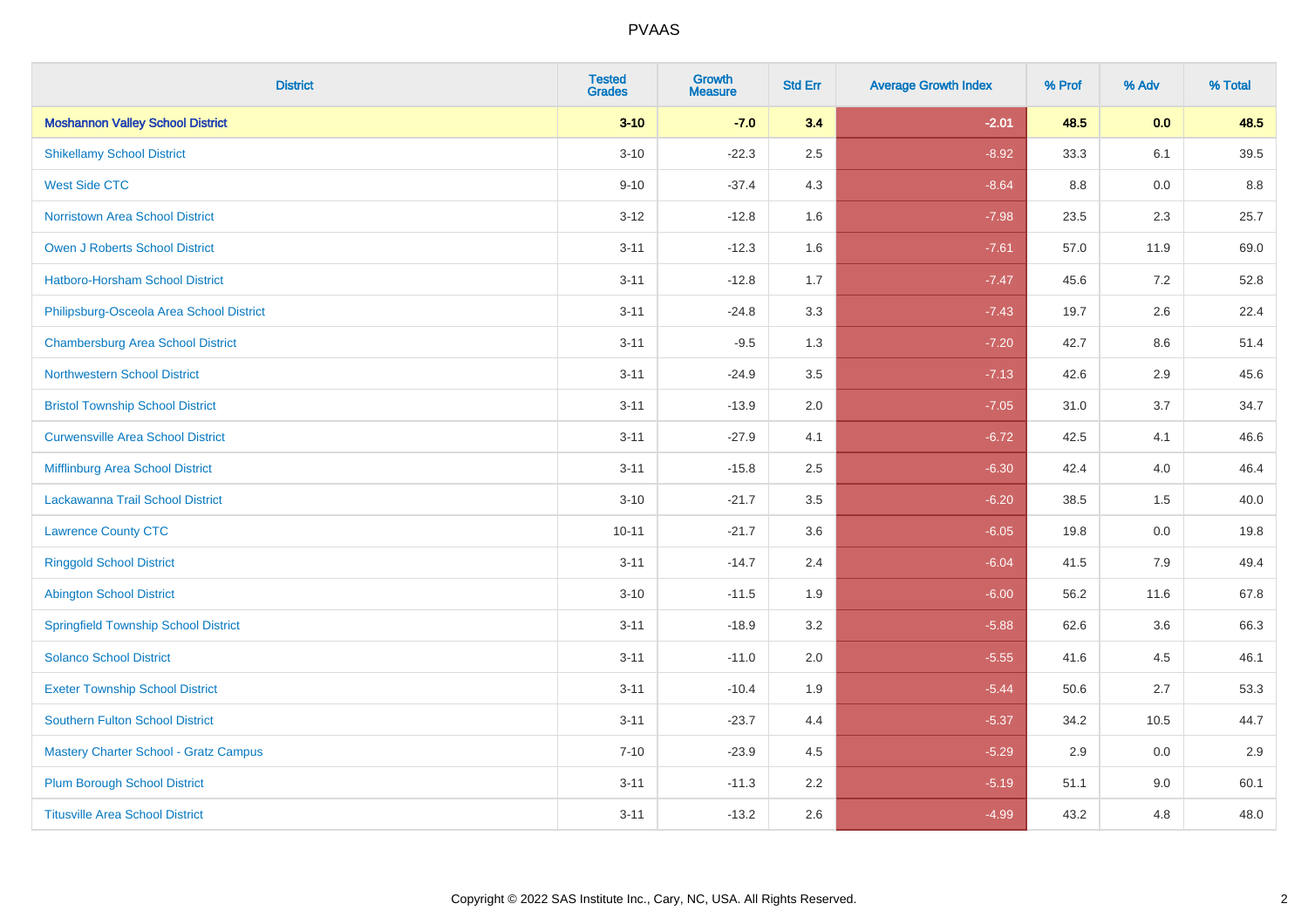| <b>District</b>                             | <b>Tested</b><br><b>Grades</b> | <b>Growth</b><br><b>Measure</b> | <b>Std Err</b> | <b>Average Growth Index</b> | % Prof | % Adv   | % Total |
|---------------------------------------------|--------------------------------|---------------------------------|----------------|-----------------------------|--------|---------|---------|
| <b>Moshannon Valley School District</b>     | $3 - 10$                       | $-7.0$                          | 3.4            | $-2.01$                     | 48.5   | 0.0     | 48.5    |
| <b>Shikellamy School District</b>           | $3 - 10$                       | $-22.3$                         | 2.5            | $-8.92$                     | 33.3   | 6.1     | 39.5    |
| <b>West Side CTC</b>                        | $9 - 10$                       | $-37.4$                         | 4.3            | $-8.64$                     | 8.8    | 0.0     | 8.8     |
| <b>Norristown Area School District</b>      | $3 - 12$                       | $-12.8$                         | 1.6            | $-7.98$                     | 23.5   | $2.3\,$ | 25.7    |
| <b>Owen J Roberts School District</b>       | $3 - 11$                       | $-12.3$                         | 1.6            | $-7.61$                     | 57.0   | 11.9    | 69.0    |
| <b>Hatboro-Horsham School District</b>      | $3 - 11$                       | $-12.8$                         | 1.7            | $-7.47$                     | 45.6   | 7.2     | 52.8    |
| Philipsburg-Osceola Area School District    | $3 - 11$                       | $-24.8$                         | 3.3            | $-7.43$                     | 19.7   | 2.6     | 22.4    |
| <b>Chambersburg Area School District</b>    | $3 - 11$                       | $-9.5$                          | 1.3            | $-7.20$                     | 42.7   | 8.6     | 51.4    |
| <b>Northwestern School District</b>         | $3 - 11$                       | $-24.9$                         | 3.5            | $-7.13$                     | 42.6   | 2.9     | 45.6    |
| <b>Bristol Township School District</b>     | $3 - 11$                       | $-13.9$                         | 2.0            | $-7.05$                     | 31.0   | 3.7     | 34.7    |
| <b>Curwensville Area School District</b>    | $3 - 11$                       | $-27.9$                         | 4.1            | $-6.72$                     | 42.5   | 4.1     | 46.6    |
| Mifflinburg Area School District            | $3 - 11$                       | $-15.8$                         | 2.5            | $-6.30$                     | 42.4   | 4.0     | 46.4    |
| Lackawanna Trail School District            | $3 - 10$                       | $-21.7$                         | 3.5            | $-6.20$                     | 38.5   | 1.5     | 40.0    |
| <b>Lawrence County CTC</b>                  | $10 - 11$                      | $-21.7$                         | 3.6            | $-6.05$                     | 19.8   | 0.0     | 19.8    |
| <b>Ringgold School District</b>             | $3 - 11$                       | $-14.7$                         | 2.4            | $-6.04$                     | 41.5   | 7.9     | 49.4    |
| <b>Abington School District</b>             | $3 - 10$                       | $-11.5$                         | 1.9            | $-6.00$                     | 56.2   | 11.6    | 67.8    |
| <b>Springfield Township School District</b> | $3 - 11$                       | $-18.9$                         | 3.2            | $-5.88$                     | 62.6   | 3.6     | 66.3    |
| <b>Solanco School District</b>              | $3 - 11$                       | $-11.0$                         | 2.0            | $-5.55$                     | 41.6   | 4.5     | 46.1    |
| <b>Exeter Township School District</b>      | $3 - 11$                       | $-10.4$                         | 1.9            | $-5.44$                     | 50.6   | 2.7     | 53.3    |
| <b>Southern Fulton School District</b>      | $3 - 11$                       | $-23.7$                         | 4.4            | $-5.37$                     | 34.2   | 10.5    | 44.7    |
| Mastery Charter School - Gratz Campus       | $7 - 10$                       | $-23.9$                         | 4.5            | $-5.29$                     | 2.9    | 0.0     | 2.9     |
| <b>Plum Borough School District</b>         | $3 - 11$                       | $-11.3$                         | 2.2            | $-5.19$                     | 51.1   | 9.0     | 60.1    |
| <b>Titusville Area School District</b>      | $3 - 11$                       | $-13.2$                         | 2.6            | $-4.99$                     | 43.2   | 4.8     | 48.0    |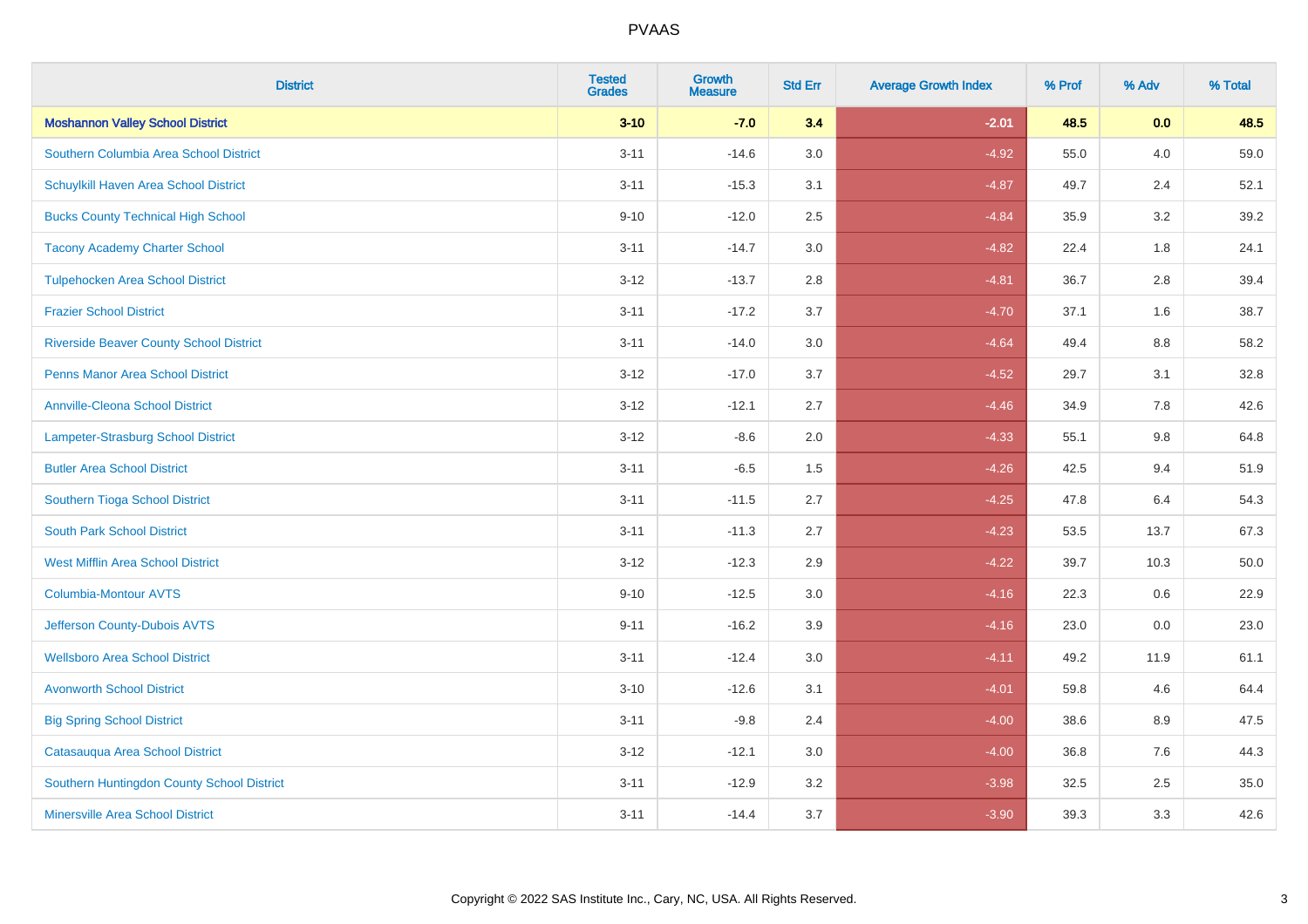| <b>District</b>                                | <b>Tested</b><br><b>Grades</b> | <b>Growth</b><br><b>Measure</b> | <b>Std Err</b> | <b>Average Growth Index</b> | % Prof | % Adv | % Total |
|------------------------------------------------|--------------------------------|---------------------------------|----------------|-----------------------------|--------|-------|---------|
| <b>Moshannon Valley School District</b>        | $3 - 10$                       | $-7.0$                          | 3.4            | $-2.01$                     | 48.5   | 0.0   | 48.5    |
| Southern Columbia Area School District         | $3 - 11$                       | $-14.6$                         | 3.0            | $-4.92$                     | 55.0   | 4.0   | 59.0    |
| Schuylkill Haven Area School District          | $3 - 11$                       | $-15.3$                         | 3.1            | $-4.87$                     | 49.7   | 2.4   | 52.1    |
| <b>Bucks County Technical High School</b>      | $9 - 10$                       | $-12.0$                         | 2.5            | $-4.84$                     | 35.9   | 3.2   | 39.2    |
| <b>Tacony Academy Charter School</b>           | $3 - 11$                       | $-14.7$                         | 3.0            | $-4.82$                     | 22.4   | 1.8   | 24.1    |
| <b>Tulpehocken Area School District</b>        | $3 - 12$                       | $-13.7$                         | 2.8            | $-4.81$                     | 36.7   | 2.8   | 39.4    |
| <b>Frazier School District</b>                 | $3 - 11$                       | $-17.2$                         | 3.7            | $-4.70$                     | 37.1   | 1.6   | 38.7    |
| <b>Riverside Beaver County School District</b> | $3 - 11$                       | $-14.0$                         | 3.0            | $-4.64$                     | 49.4   | 8.8   | 58.2    |
| <b>Penns Manor Area School District</b>        | $3 - 12$                       | $-17.0$                         | 3.7            | $-4.52$                     | 29.7   | 3.1   | 32.8    |
| <b>Annville-Cleona School District</b>         | $3 - 12$                       | $-12.1$                         | 2.7            | $-4.46$                     | 34.9   | 7.8   | 42.6    |
| Lampeter-Strasburg School District             | $3 - 12$                       | $-8.6$                          | 2.0            | $-4.33$                     | 55.1   | 9.8   | 64.8    |
| <b>Butler Area School District</b>             | $3 - 11$                       | $-6.5$                          | 1.5            | $-4.26$                     | 42.5   | 9.4   | 51.9    |
| Southern Tioga School District                 | $3 - 11$                       | $-11.5$                         | 2.7            | $-4.25$                     | 47.8   | 6.4   | 54.3    |
| <b>South Park School District</b>              | $3 - 11$                       | $-11.3$                         | 2.7            | $-4.23$                     | 53.5   | 13.7  | 67.3    |
| <b>West Mifflin Area School District</b>       | $3 - 12$                       | $-12.3$                         | 2.9            | $-4.22$                     | 39.7   | 10.3  | 50.0    |
| <b>Columbia-Montour AVTS</b>                   | $9 - 10$                       | $-12.5$                         | 3.0            | $-4.16$                     | 22.3   | 0.6   | 22.9    |
| Jefferson County-Dubois AVTS                   | $9 - 11$                       | $-16.2$                         | 3.9            | $-4.16$                     | 23.0   | 0.0   | 23.0    |
| <b>Wellsboro Area School District</b>          | $3 - 11$                       | $-12.4$                         | 3.0            | $-4.11$                     | 49.2   | 11.9  | 61.1    |
| <b>Avonworth School District</b>               | $3 - 10$                       | $-12.6$                         | 3.1            | $-4.01$                     | 59.8   | 4.6   | 64.4    |
| <b>Big Spring School District</b>              | $3 - 11$                       | $-9.8$                          | 2.4            | $-4.00$                     | 38.6   | 8.9   | 47.5    |
| Catasauqua Area School District                | $3 - 12$                       | $-12.1$                         | 3.0            | $-4.00$                     | 36.8   | 7.6   | 44.3    |
| Southern Huntingdon County School District     | $3 - 11$                       | $-12.9$                         | 3.2            | $-3.98$                     | 32.5   | 2.5   | 35.0    |
| <b>Minersville Area School District</b>        | $3 - 11$                       | $-14.4$                         | 3.7            | $-3.90$                     | 39.3   | 3.3   | 42.6    |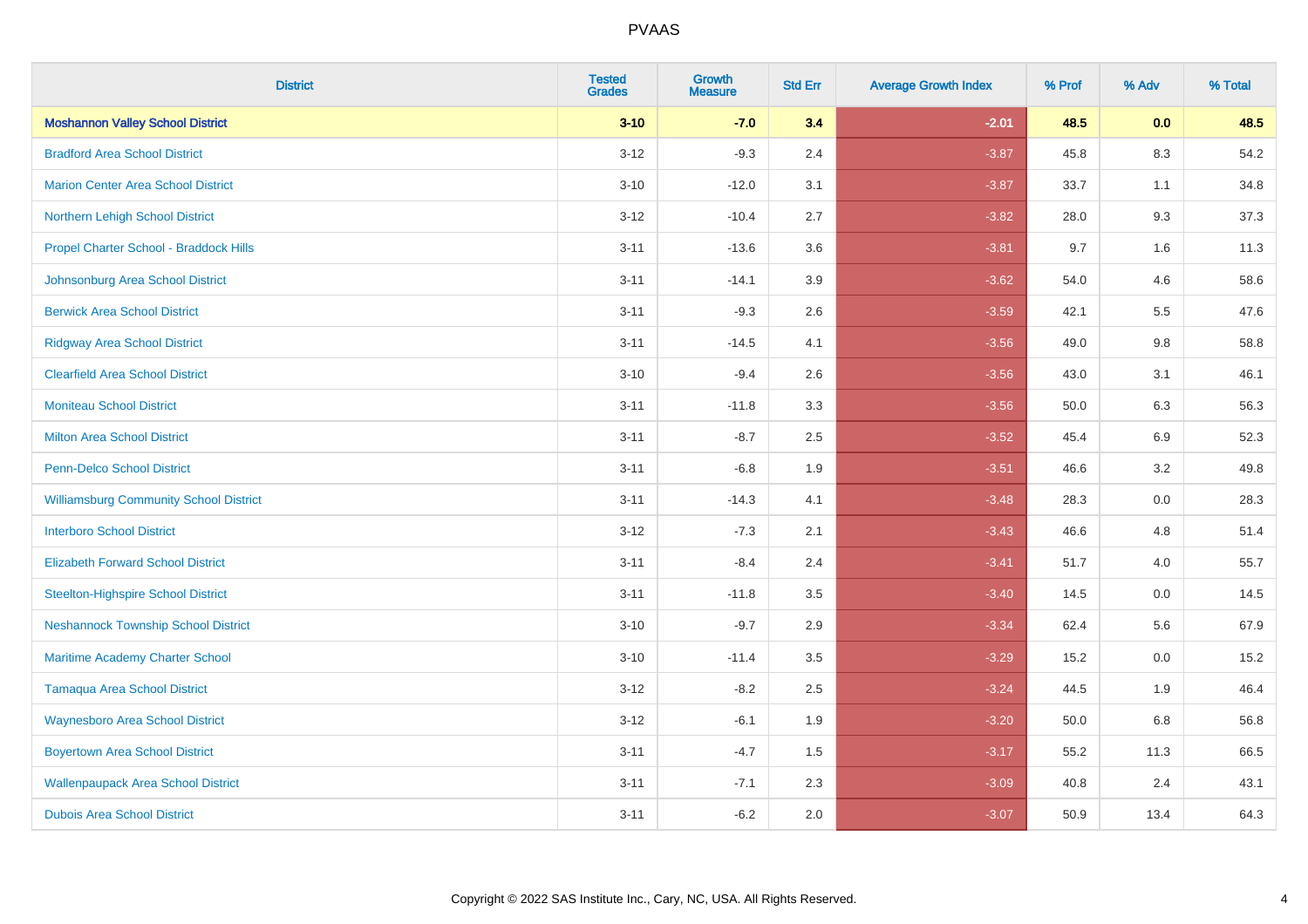| <b>District</b>                               | <b>Tested</b><br><b>Grades</b> | <b>Growth</b><br><b>Measure</b> | <b>Std Err</b> | <b>Average Growth Index</b> | % Prof | % Adv   | % Total |
|-----------------------------------------------|--------------------------------|---------------------------------|----------------|-----------------------------|--------|---------|---------|
| <b>Moshannon Valley School District</b>       | $3 - 10$                       | $-7.0$                          | 3.4            | $-2.01$                     | 48.5   | 0.0     | 48.5    |
| <b>Bradford Area School District</b>          | $3 - 12$                       | $-9.3$                          | 2.4            | $-3.87$                     | 45.8   | $8.3\,$ | 54.2    |
| <b>Marion Center Area School District</b>     | $3 - 10$                       | $-12.0$                         | 3.1            | $-3.87$                     | 33.7   | 1.1     | 34.8    |
| Northern Lehigh School District               | $3 - 12$                       | $-10.4$                         | 2.7            | $-3.82$                     | 28.0   | 9.3     | 37.3    |
| Propel Charter School - Braddock Hills        | $3 - 11$                       | $-13.6$                         | 3.6            | $-3.81$                     | 9.7    | 1.6     | 11.3    |
| Johnsonburg Area School District              | $3 - 11$                       | $-14.1$                         | 3.9            | $-3.62$                     | 54.0   | 4.6     | 58.6    |
| <b>Berwick Area School District</b>           | $3 - 11$                       | $-9.3$                          | 2.6            | $-3.59$                     | 42.1   | 5.5     | 47.6    |
| <b>Ridgway Area School District</b>           | $3 - 11$                       | $-14.5$                         | 4.1            | $-3.56$                     | 49.0   | 9.8     | 58.8    |
| <b>Clearfield Area School District</b>        | $3 - 10$                       | $-9.4$                          | 2.6            | $-3.56$                     | 43.0   | 3.1     | 46.1    |
| <b>Moniteau School District</b>               | $3 - 11$                       | $-11.8$                         | 3.3            | $-3.56$                     | 50.0   | 6.3     | 56.3    |
| <b>Milton Area School District</b>            | $3 - 11$                       | $-8.7$                          | 2.5            | $-3.52$                     | 45.4   | 6.9     | 52.3    |
| <b>Penn-Delco School District</b>             | $3 - 11$                       | $-6.8$                          | 1.9            | $-3.51$                     | 46.6   | 3.2     | 49.8    |
| <b>Williamsburg Community School District</b> | $3 - 11$                       | $-14.3$                         | 4.1            | $-3.48$                     | 28.3   | $0.0\,$ | 28.3    |
| <b>Interboro School District</b>              | $3 - 12$                       | $-7.3$                          | 2.1            | $-3.43$                     | 46.6   | 4.8     | 51.4    |
| <b>Elizabeth Forward School District</b>      | $3 - 11$                       | $-8.4$                          | 2.4            | $-3.41$                     | 51.7   | 4.0     | 55.7    |
| <b>Steelton-Highspire School District</b>     | $3 - 11$                       | $-11.8$                         | 3.5            | $-3.40$                     | 14.5   | $0.0\,$ | 14.5    |
| <b>Neshannock Township School District</b>    | $3 - 10$                       | $-9.7$                          | 2.9            | $-3.34$                     | 62.4   | 5.6     | 67.9    |
| Maritime Academy Charter School               | $3 - 10$                       | $-11.4$                         | 3.5            | $-3.29$                     | 15.2   | 0.0     | 15.2    |
| <b>Tamaqua Area School District</b>           | $3 - 12$                       | $-8.2$                          | 2.5            | $-3.24$                     | 44.5   | 1.9     | 46.4    |
| <b>Waynesboro Area School District</b>        | $3 - 12$                       | $-6.1$                          | 1.9            | $-3.20$                     | 50.0   | 6.8     | 56.8    |
| <b>Boyertown Area School District</b>         | $3 - 11$                       | $-4.7$                          | 1.5            | $-3.17$                     | 55.2   | 11.3    | 66.5    |
| <b>Wallenpaupack Area School District</b>     | $3 - 11$                       | $-7.1$                          | 2.3            | $-3.09$                     | 40.8   | 2.4     | 43.1    |
| <b>Dubois Area School District</b>            | $3 - 11$                       | $-6.2$                          | 2.0            | $-3.07$                     | 50.9   | 13.4    | 64.3    |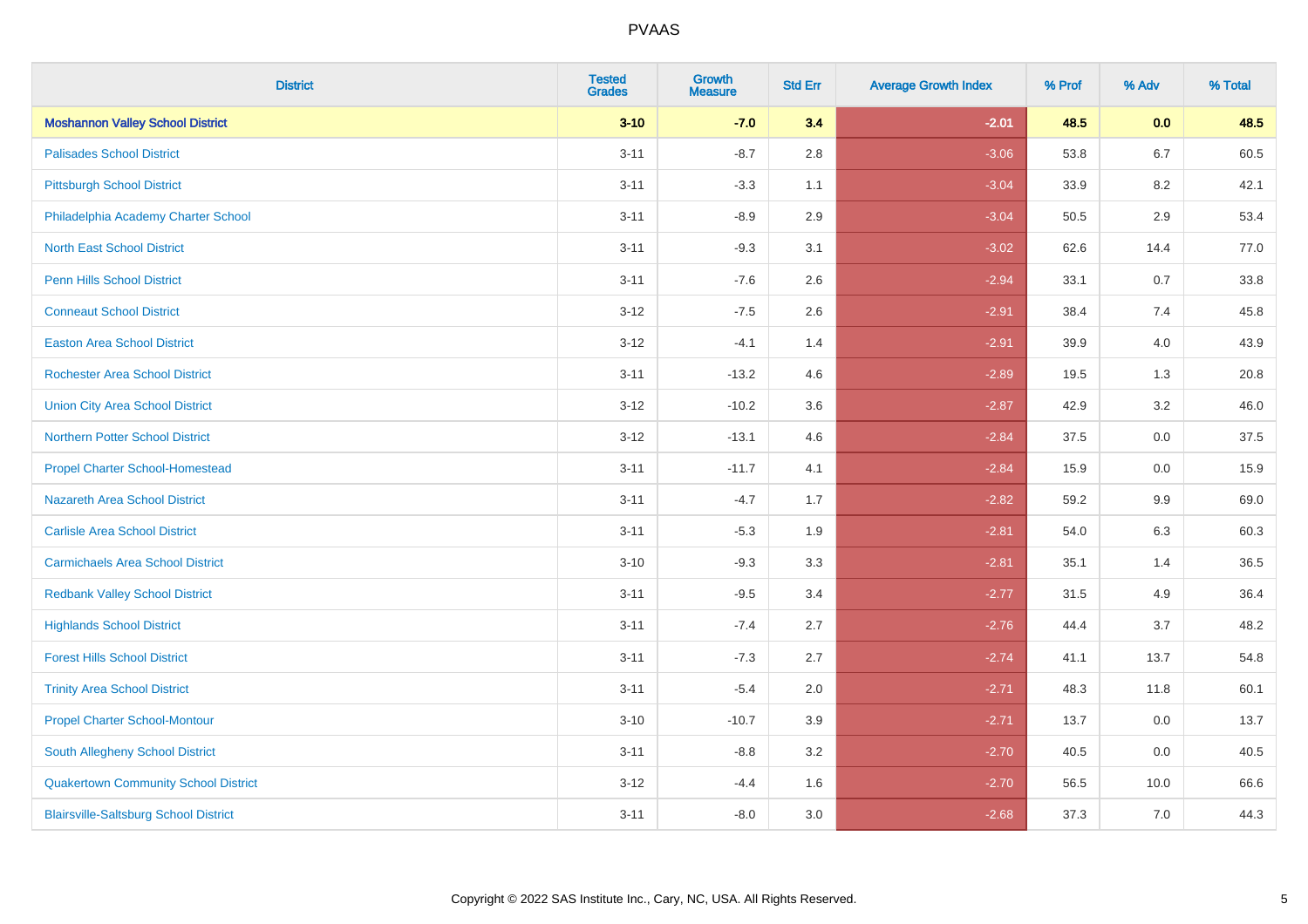| <b>District</b>                              | <b>Tested</b><br><b>Grades</b> | <b>Growth</b><br><b>Measure</b> | <b>Std Err</b> | <b>Average Growth Index</b> | % Prof | % Adv   | % Total |
|----------------------------------------------|--------------------------------|---------------------------------|----------------|-----------------------------|--------|---------|---------|
| <b>Moshannon Valley School District</b>      | $3 - 10$                       | $-7.0$                          | 3.4            | $-2.01$                     | 48.5   | 0.0     | 48.5    |
| <b>Palisades School District</b>             | $3 - 11$                       | $-8.7$                          | 2.8            | $-3.06$                     | 53.8   | 6.7     | 60.5    |
| <b>Pittsburgh School District</b>            | $3 - 11$                       | $-3.3$                          | 1.1            | $-3.04$                     | 33.9   | 8.2     | 42.1    |
| Philadelphia Academy Charter School          | $3 - 11$                       | $-8.9$                          | 2.9            | $-3.04$                     | 50.5   | $2.9\,$ | 53.4    |
| <b>North East School District</b>            | $3 - 11$                       | $-9.3$                          | 3.1            | $-3.02$                     | 62.6   | 14.4    | 77.0    |
| <b>Penn Hills School District</b>            | $3 - 11$                       | $-7.6$                          | 2.6            | $-2.94$                     | 33.1   | 0.7     | 33.8    |
| <b>Conneaut School District</b>              | $3 - 12$                       | $-7.5$                          | 2.6            | $-2.91$                     | 38.4   | 7.4     | 45.8    |
| <b>Easton Area School District</b>           | $3 - 12$                       | $-4.1$                          | 1.4            | $-2.91$                     | 39.9   | 4.0     | 43.9    |
| <b>Rochester Area School District</b>        | $3 - 11$                       | $-13.2$                         | 4.6            | $-2.89$                     | 19.5   | 1.3     | 20.8    |
| <b>Union City Area School District</b>       | $3 - 12$                       | $-10.2$                         | 3.6            | $-2.87$                     | 42.9   | $3.2\,$ | 46.0    |
| <b>Northern Potter School District</b>       | $3 - 12$                       | $-13.1$                         | 4.6            | $-2.84$                     | 37.5   | 0.0     | 37.5    |
| <b>Propel Charter School-Homestead</b>       | $3 - 11$                       | $-11.7$                         | 4.1            | $-2.84$                     | 15.9   | 0.0     | 15.9    |
| Nazareth Area School District                | $3 - 11$                       | $-4.7$                          | 1.7            | $-2.82$                     | 59.2   | 9.9     | 69.0    |
| <b>Carlisle Area School District</b>         | $3 - 11$                       | $-5.3$                          | 1.9            | $-2.81$                     | 54.0   | 6.3     | 60.3    |
| <b>Carmichaels Area School District</b>      | $3 - 10$                       | $-9.3$                          | 3.3            | $-2.81$                     | 35.1   | 1.4     | 36.5    |
| <b>Redbank Valley School District</b>        | $3 - 11$                       | $-9.5$                          | 3.4            | $-2.77$                     | 31.5   | 4.9     | 36.4    |
| <b>Highlands School District</b>             | $3 - 11$                       | $-7.4$                          | 2.7            | $-2.76$                     | 44.4   | 3.7     | 48.2    |
| <b>Forest Hills School District</b>          | $3 - 11$                       | $-7.3$                          | 2.7            | $-2.74$                     | 41.1   | 13.7    | 54.8    |
| <b>Trinity Area School District</b>          | $3 - 11$                       | $-5.4$                          | 2.0            | $-2.71$                     | 48.3   | 11.8    | 60.1    |
| <b>Propel Charter School-Montour</b>         | $3 - 10$                       | $-10.7$                         | 3.9            | $-2.71$                     | 13.7   | $0.0\,$ | 13.7    |
| South Allegheny School District              | $3 - 11$                       | $-8.8$                          | 3.2            | $-2.70$                     | 40.5   | 0.0     | 40.5    |
| <b>Quakertown Community School District</b>  | $3 - 12$                       | $-4.4$                          | 1.6            | $-2.70$                     | 56.5   | 10.0    | 66.6    |
| <b>Blairsville-Saltsburg School District</b> | $3 - 11$                       | $-8.0$                          | 3.0            | $-2.68$                     | 37.3   | 7.0     | 44.3    |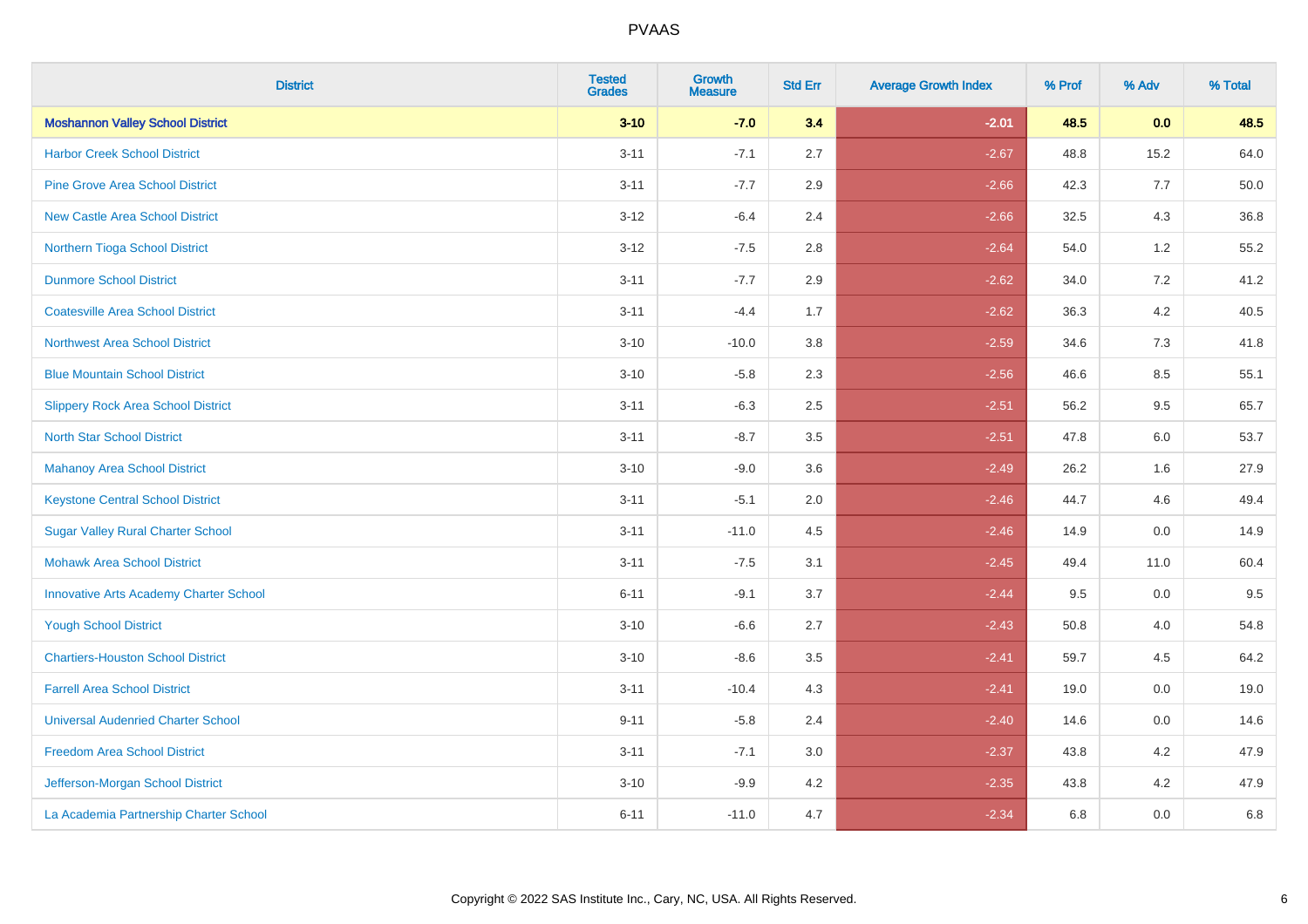| <b>District</b>                               | <b>Tested</b><br><b>Grades</b> | Growth<br><b>Measure</b> | <b>Std Err</b> | <b>Average Growth Index</b> | % Prof | % Adv   | % Total |
|-----------------------------------------------|--------------------------------|--------------------------|----------------|-----------------------------|--------|---------|---------|
| <b>Moshannon Valley School District</b>       | $3 - 10$                       | $-7.0$                   | 3.4            | $-2.01$                     | 48.5   | 0.0     | 48.5    |
| <b>Harbor Creek School District</b>           | $3 - 11$                       | $-7.1$                   | 2.7            | $-2.67$                     | 48.8   | 15.2    | 64.0    |
| <b>Pine Grove Area School District</b>        | $3 - 11$                       | $-7.7$                   | 2.9            | $-2.66$                     | 42.3   | 7.7     | 50.0    |
| <b>New Castle Area School District</b>        | $3-12$                         | $-6.4$                   | 2.4            | $-2.66$                     | 32.5   | $4.3$   | 36.8    |
| Northern Tioga School District                | $3 - 12$                       | $-7.5$                   | 2.8            | $-2.64$                     | 54.0   | 1.2     | 55.2    |
| <b>Dunmore School District</b>                | $3 - 11$                       | $-7.7$                   | 2.9            | $-2.62$                     | 34.0   | 7.2     | 41.2    |
| <b>Coatesville Area School District</b>       | $3 - 11$                       | $-4.4$                   | 1.7            | $-2.62$                     | 36.3   | $4.2\,$ | 40.5    |
| <b>Northwest Area School District</b>         | $3 - 10$                       | $-10.0$                  | 3.8            | $-2.59$                     | 34.6   | 7.3     | 41.8    |
| <b>Blue Mountain School District</b>          | $3 - 10$                       | $-5.8$                   | 2.3            | $-2.56$                     | 46.6   | 8.5     | 55.1    |
| <b>Slippery Rock Area School District</b>     | $3 - 11$                       | $-6.3$                   | 2.5            | $-2.51$                     | 56.2   | $9.5\,$ | 65.7    |
| <b>North Star School District</b>             | $3 - 11$                       | $-8.7$                   | 3.5            | $-2.51$                     | 47.8   | 6.0     | 53.7    |
| Mahanoy Area School District                  | $3 - 10$                       | $-9.0$                   | 3.6            | $-2.49$                     | 26.2   | 1.6     | 27.9    |
| <b>Keystone Central School District</b>       | $3 - 11$                       | $-5.1$                   | 2.0            | $-2.46$                     | 44.7   | 4.6     | 49.4    |
| <b>Sugar Valley Rural Charter School</b>      | $3 - 11$                       | $-11.0$                  | 4.5            | $-2.46$                     | 14.9   | $0.0\,$ | 14.9    |
| <b>Mohawk Area School District</b>            | $3 - 11$                       | $-7.5$                   | 3.1            | $-2.45$                     | 49.4   | 11.0    | 60.4    |
| <b>Innovative Arts Academy Charter School</b> | $6 - 11$                       | $-9.1$                   | 3.7            | $-2.44$                     | 9.5    | 0.0     | 9.5     |
| <b>Yough School District</b>                  | $3 - 10$                       | $-6.6$                   | 2.7            | $-2.43$                     | 50.8   | 4.0     | 54.8    |
| <b>Chartiers-Houston School District</b>      | $3 - 10$                       | $-8.6$                   | 3.5            | $-2.41$                     | 59.7   | 4.5     | 64.2    |
| <b>Farrell Area School District</b>           | $3 - 11$                       | $-10.4$                  | 4.3            | $-2.41$                     | 19.0   | 0.0     | 19.0    |
| <b>Universal Audenried Charter School</b>     | $9 - 11$                       | $-5.8$                   | 2.4            | $-2.40$                     | 14.6   | 0.0     | 14.6    |
| <b>Freedom Area School District</b>           | $3 - 11$                       | $-7.1$                   | 3.0            | $-2.37$                     | 43.8   | 4.2     | 47.9    |
| Jefferson-Morgan School District              | $3 - 10$                       | $-9.9$                   | 4.2            | $-2.35$                     | 43.8   | 4.2     | 47.9    |
| La Academia Partnership Charter School        | $6 - 11$                       | $-11.0$                  | 4.7            | $-2.34$                     | 6.8    | 0.0     | 6.8     |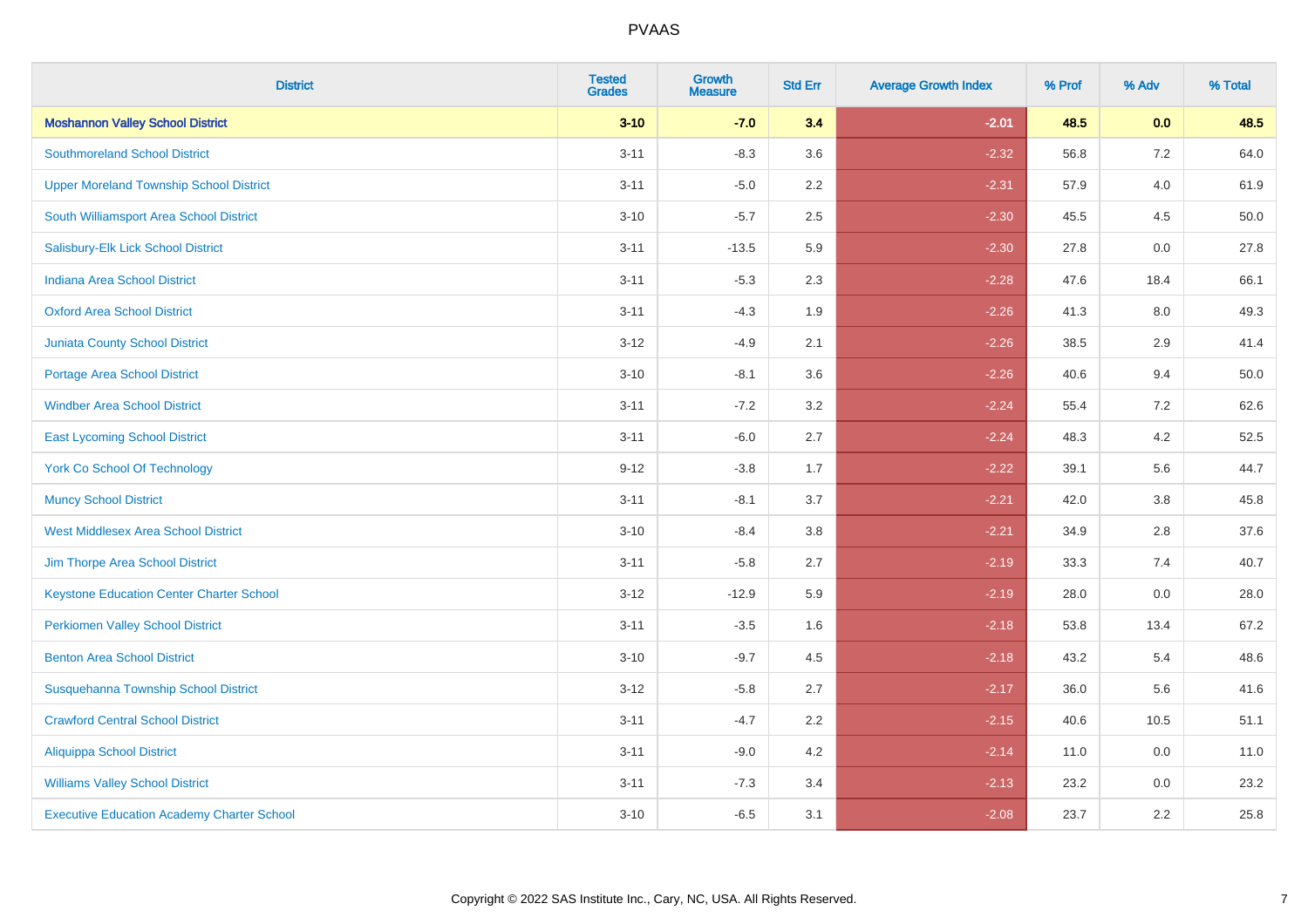| <b>District</b>                                   | <b>Tested</b><br><b>Grades</b> | <b>Growth</b><br><b>Measure</b> | <b>Std Err</b> | <b>Average Growth Index</b> | % Prof | % Adv   | % Total |
|---------------------------------------------------|--------------------------------|---------------------------------|----------------|-----------------------------|--------|---------|---------|
| <b>Moshannon Valley School District</b>           | $3 - 10$                       | $-7.0$                          | 3.4            | $-2.01$                     | 48.5   | 0.0     | 48.5    |
| <b>Southmoreland School District</b>              | $3 - 11$                       | $-8.3$                          | 3.6            | $-2.32$                     | 56.8   | $7.2\,$ | 64.0    |
| <b>Upper Moreland Township School District</b>    | $3 - 11$                       | $-5.0$                          | 2.2            | $-2.31$                     | 57.9   | 4.0     | 61.9    |
| South Williamsport Area School District           | $3 - 10$                       | $-5.7$                          | 2.5            | $-2.30$                     | 45.5   | 4.5     | 50.0    |
| Salisbury-Elk Lick School District                | $3 - 11$                       | $-13.5$                         | 5.9            | $-2.30$                     | 27.8   | 0.0     | 27.8    |
| Indiana Area School District                      | $3 - 11$                       | $-5.3$                          | 2.3            | $-2.28$                     | 47.6   | 18.4    | 66.1    |
| <b>Oxford Area School District</b>                | $3 - 11$                       | $-4.3$                          | 1.9            | $-2.26$                     | 41.3   | 8.0     | 49.3    |
| <b>Juniata County School District</b>             | $3 - 12$                       | $-4.9$                          | 2.1            | $-2.26$                     | 38.5   | 2.9     | 41.4    |
| <b>Portage Area School District</b>               | $3 - 10$                       | $-8.1$                          | 3.6            | $-2.26$                     | 40.6   | 9.4     | 50.0    |
| <b>Windber Area School District</b>               | $3 - 11$                       | $-7.2$                          | 3.2            | $-2.24$                     | 55.4   | 7.2     | 62.6    |
| <b>East Lycoming School District</b>              | $3 - 11$                       | $-6.0$                          | 2.7            | $-2.24$                     | 48.3   | 4.2     | 52.5    |
| <b>York Co School Of Technology</b>               | $9 - 12$                       | $-3.8$                          | 1.7            | $-2.22$                     | 39.1   | 5.6     | 44.7    |
| <b>Muncy School District</b>                      | $3 - 11$                       | $-8.1$                          | 3.7            | $-2.21$                     | 42.0   | $3.8\,$ | 45.8    |
| <b>West Middlesex Area School District</b>        | $3 - 10$                       | $-8.4$                          | $3.8\,$        | $-2.21$                     | 34.9   | 2.8     | 37.6    |
| Jim Thorpe Area School District                   | $3 - 11$                       | $-5.8$                          | 2.7            | $-2.19$                     | 33.3   | 7.4     | 40.7    |
| <b>Keystone Education Center Charter School</b>   | $3 - 12$                       | $-12.9$                         | 5.9            | $-2.19$                     | 28.0   | $0.0\,$ | 28.0    |
| <b>Perkiomen Valley School District</b>           | $3 - 11$                       | $-3.5$                          | 1.6            | $-2.18$                     | 53.8   | 13.4    | 67.2    |
| <b>Benton Area School District</b>                | $3 - 10$                       | $-9.7$                          | 4.5            | $-2.18$                     | 43.2   | 5.4     | 48.6    |
| Susquehanna Township School District              | $3 - 12$                       | $-5.8$                          | 2.7            | $-2.17$                     | 36.0   | 5.6     | 41.6    |
| <b>Crawford Central School District</b>           | $3 - 11$                       | $-4.7$                          | 2.2            | $-2.15$                     | 40.6   | 10.5    | 51.1    |
| <b>Aliquippa School District</b>                  | $3 - 11$                       | $-9.0$                          | 4.2            | $-2.14$                     | 11.0   | 0.0     | 11.0    |
| <b>Williams Valley School District</b>            | $3 - 11$                       | $-7.3$                          | 3.4            | $-2.13$                     | 23.2   | 0.0     | 23.2    |
| <b>Executive Education Academy Charter School</b> | $3 - 10$                       | $-6.5$                          | 3.1            | $-2.08$                     | 23.7   | 2.2     | 25.8    |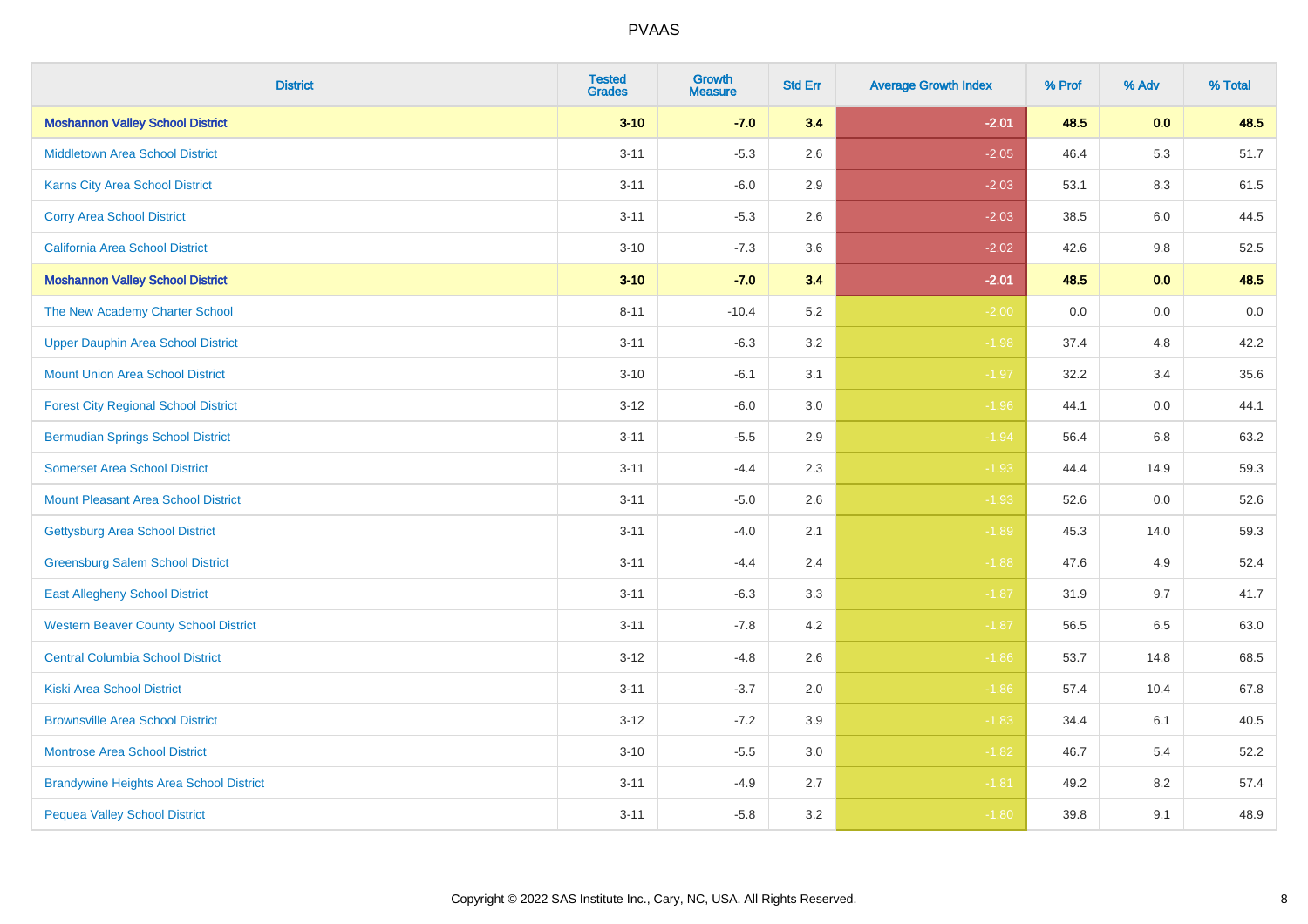| <b>District</b>                                | <b>Tested</b><br><b>Grades</b> | <b>Growth</b><br><b>Measure</b> | <b>Std Err</b> | <b>Average Growth Index</b> | % Prof | % Adv   | % Total |
|------------------------------------------------|--------------------------------|---------------------------------|----------------|-----------------------------|--------|---------|---------|
| <b>Moshannon Valley School District</b>        | $3 - 10$                       | $-7.0$                          | 3.4            | $-2.01$                     | 48.5   | 0.0     | 48.5    |
| <b>Middletown Area School District</b>         | $3 - 11$                       | $-5.3$                          | 2.6            | $-2.05$                     | 46.4   | 5.3     | 51.7    |
| <b>Karns City Area School District</b>         | $3 - 11$                       | $-6.0$                          | 2.9            | $-2.03$                     | 53.1   | 8.3     | 61.5    |
| <b>Corry Area School District</b>              | $3 - 11$                       | $-5.3$                          | 2.6            | $-2.03$                     | 38.5   | 6.0     | 44.5    |
| California Area School District                | $3 - 10$                       | $-7.3$                          | 3.6            | $-2.02$                     | 42.6   | 9.8     | 52.5    |
| <b>Moshannon Valley School District</b>        | $3 - 10$                       | $-7.0$                          | 3.4            | $-2.01$                     | 48.5   | 0.0     | 48.5    |
| The New Academy Charter School                 | $8 - 11$                       | $-10.4$                         | 5.2            | $-2.00$                     | 0.0    | $0.0\,$ | $0.0\,$ |
| <b>Upper Dauphin Area School District</b>      | $3 - 11$                       | $-6.3$                          | 3.2            | $-1.98$                     | 37.4   | 4.8     | 42.2    |
| <b>Mount Union Area School District</b>        | $3 - 10$                       | $-6.1$                          | 3.1            | $-1.97$                     | 32.2   | 3.4     | 35.6    |
| <b>Forest City Regional School District</b>    | $3 - 12$                       | $-6.0$                          | 3.0            | $-1.96$                     | 44.1   | 0.0     | 44.1    |
| <b>Bermudian Springs School District</b>       | $3 - 11$                       | $-5.5$                          | 2.9            | $-1.94$                     | 56.4   | 6.8     | 63.2    |
| <b>Somerset Area School District</b>           | $3 - 11$                       | $-4.4$                          | 2.3            | $-1.93$                     | 44.4   | 14.9    | 59.3    |
| <b>Mount Pleasant Area School District</b>     | $3 - 11$                       | $-5.0$                          | 2.6            | $-1.93$                     | 52.6   | 0.0     | 52.6    |
| <b>Gettysburg Area School District</b>         | $3 - 11$                       | $-4.0$                          | 2.1            | $-1.89$                     | 45.3   | 14.0    | 59.3    |
| <b>Greensburg Salem School District</b>        | $3 - 11$                       | $-4.4$                          | 2.4            | $-1.88$                     | 47.6   | 4.9     | 52.4    |
| <b>East Allegheny School District</b>          | $3 - 11$                       | $-6.3$                          | 3.3            | $-1.87$                     | 31.9   | 9.7     | 41.7    |
| <b>Western Beaver County School District</b>   | $3 - 11$                       | $-7.8$                          | 4.2            | $-1.87$                     | 56.5   | 6.5     | 63.0    |
| <b>Central Columbia School District</b>        | $3 - 12$                       | $-4.8$                          | 2.6            | $-1.86$                     | 53.7   | 14.8    | 68.5    |
| <b>Kiski Area School District</b>              | $3 - 11$                       | $-3.7$                          | 2.0            | $-1.86$                     | 57.4   | 10.4    | 67.8    |
| <b>Brownsville Area School District</b>        | $3 - 12$                       | $-7.2$                          | 3.9            | $-1.83$                     | 34.4   | 6.1     | 40.5    |
| <b>Montrose Area School District</b>           | $3 - 10$                       | $-5.5$                          | 3.0            | $-1.82$                     | 46.7   | 5.4     | 52.2    |
| <b>Brandywine Heights Area School District</b> | $3 - 11$                       | $-4.9$                          | 2.7            | $-1.81$                     | 49.2   | 8.2     | 57.4    |
| <b>Pequea Valley School District</b>           | $3 - 11$                       | $-5.8$                          | 3.2            | $-1.80$                     | 39.8   | 9.1     | 48.9    |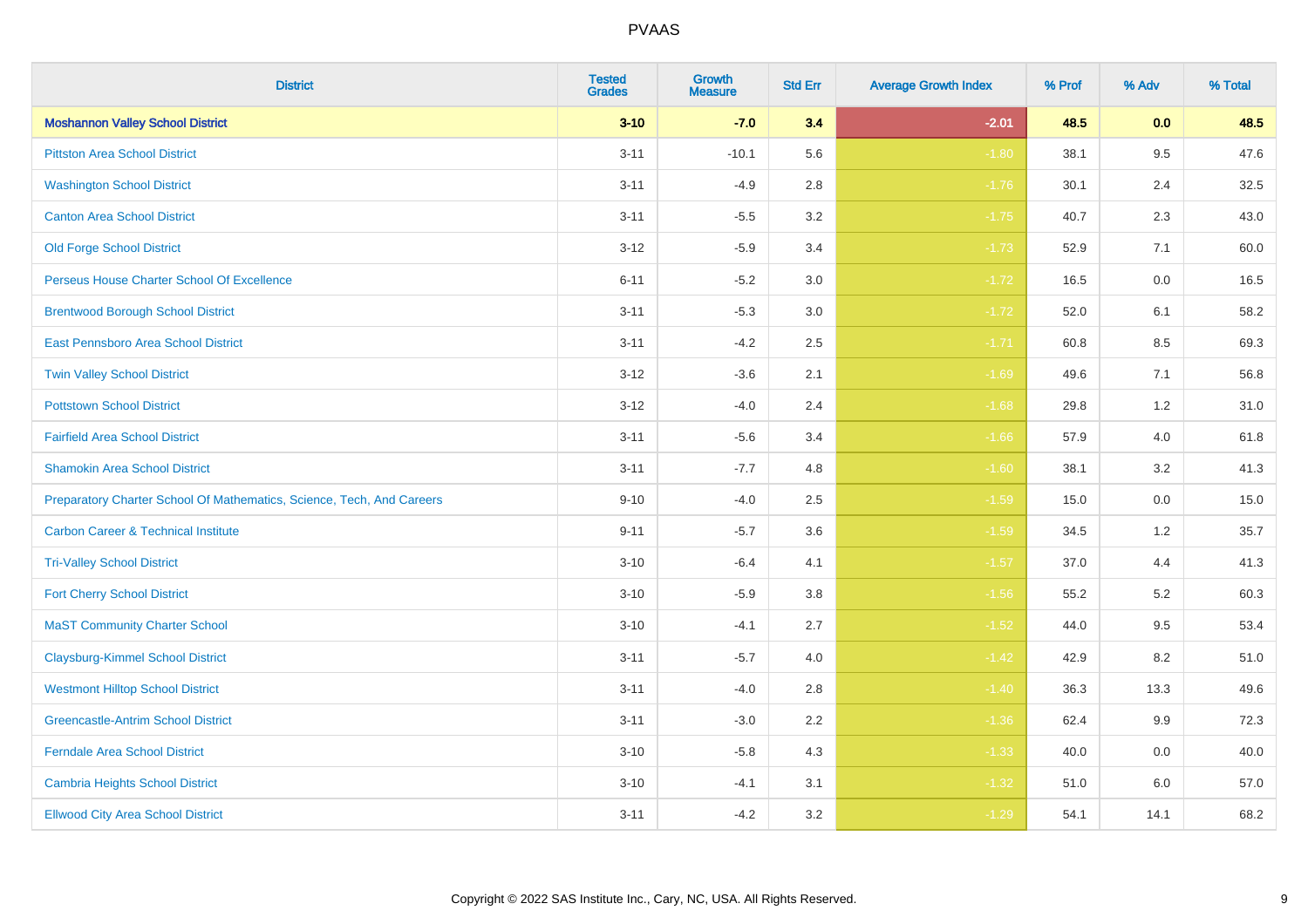| <b>District</b>                                                       | <b>Tested</b><br><b>Grades</b> | Growth<br><b>Measure</b> | <b>Std Err</b> | <b>Average Growth Index</b> | % Prof | % Adv   | % Total |
|-----------------------------------------------------------------------|--------------------------------|--------------------------|----------------|-----------------------------|--------|---------|---------|
| <b>Moshannon Valley School District</b>                               | $3 - 10$                       | $-7.0$                   | 3.4            | $-2.01$                     | 48.5   | 0.0     | 48.5    |
| <b>Pittston Area School District</b>                                  | $3 - 11$                       | $-10.1$                  | 5.6            | $-1.80$                     | 38.1   | 9.5     | 47.6    |
| <b>Washington School District</b>                                     | $3 - 11$                       | $-4.9$                   | 2.8            | $-1.76$                     | 30.1   | 2.4     | 32.5    |
| <b>Canton Area School District</b>                                    | $3 - 11$                       | $-5.5$                   | $3.2\,$        | $-1.75$                     | 40.7   | 2.3     | 43.0    |
| <b>Old Forge School District</b>                                      | $3 - 12$                       | $-5.9$                   | 3.4            | $-1.73$                     | 52.9   | 7.1     | 60.0    |
| Perseus House Charter School Of Excellence                            | $6 - 11$                       | $-5.2$                   | 3.0            | $-1.72$                     | 16.5   | 0.0     | 16.5    |
| <b>Brentwood Borough School District</b>                              | $3 - 11$                       | $-5.3$                   | $3.0\,$        | $-1.72$                     | 52.0   | 6.1     | 58.2    |
| East Pennsboro Area School District                                   | $3 - 11$                       | $-4.2$                   | 2.5            | $-1.71$                     | 60.8   | 8.5     | 69.3    |
| <b>Twin Valley School District</b>                                    | $3 - 12$                       | $-3.6$                   | 2.1            | $-1.69$                     | 49.6   | 7.1     | 56.8    |
| <b>Pottstown School District</b>                                      | $3 - 12$                       | $-4.0$                   | 2.4            | $-1.68$                     | 29.8   | 1.2     | 31.0    |
| <b>Fairfield Area School District</b>                                 | $3 - 11$                       | $-5.6$                   | 3.4            | $-1.66$                     | 57.9   | 4.0     | 61.8    |
| <b>Shamokin Area School District</b>                                  | $3 - 11$                       | $-7.7$                   | 4.8            | $-1.60$                     | 38.1   | 3.2     | 41.3    |
| Preparatory Charter School Of Mathematics, Science, Tech, And Careers | $9 - 10$                       | $-4.0$                   | 2.5            | $-1.59$                     | 15.0   | $0.0\,$ | 15.0    |
| <b>Carbon Career &amp; Technical Institute</b>                        | $9 - 11$                       | $-5.7$                   | 3.6            | $-1.59$                     | 34.5   | 1.2     | 35.7    |
| <b>Tri-Valley School District</b>                                     | $3 - 10$                       | $-6.4$                   | 4.1            | $-1.57$                     | 37.0   | 4.4     | 41.3    |
| <b>Fort Cherry School District</b>                                    | $3 - 10$                       | $-5.9$                   | 3.8            | $-1.56$                     | 55.2   | 5.2     | 60.3    |
| <b>MaST Community Charter School</b>                                  | $3 - 10$                       | $-4.1$                   | 2.7            | $-1.52$                     | 44.0   | 9.5     | 53.4    |
| <b>Claysburg-Kimmel School District</b>                               | $3 - 11$                       | $-5.7$                   | 4.0            | $-1.42$                     | 42.9   | 8.2     | 51.0    |
| <b>Westmont Hilltop School District</b>                               | $3 - 11$                       | $-4.0$                   | 2.8            | $-1.40$                     | 36.3   | 13.3    | 49.6    |
| <b>Greencastle-Antrim School District</b>                             | $3 - 11$                       | $-3.0$                   | 2.2            | $-1.36$                     | 62.4   | 9.9     | 72.3    |
| <b>Ferndale Area School District</b>                                  | $3 - 10$                       | $-5.8$                   | 4.3            | $-1.33$                     | 40.0   | 0.0     | 40.0    |
| <b>Cambria Heights School District</b>                                | $3 - 10$                       | $-4.1$                   | 3.1            | $-1.32$                     | 51.0   | 6.0     | 57.0    |
| <b>Ellwood City Area School District</b>                              | $3 - 11$                       | $-4.2$                   | 3.2            | $-1.29$                     | 54.1   | 14.1    | 68.2    |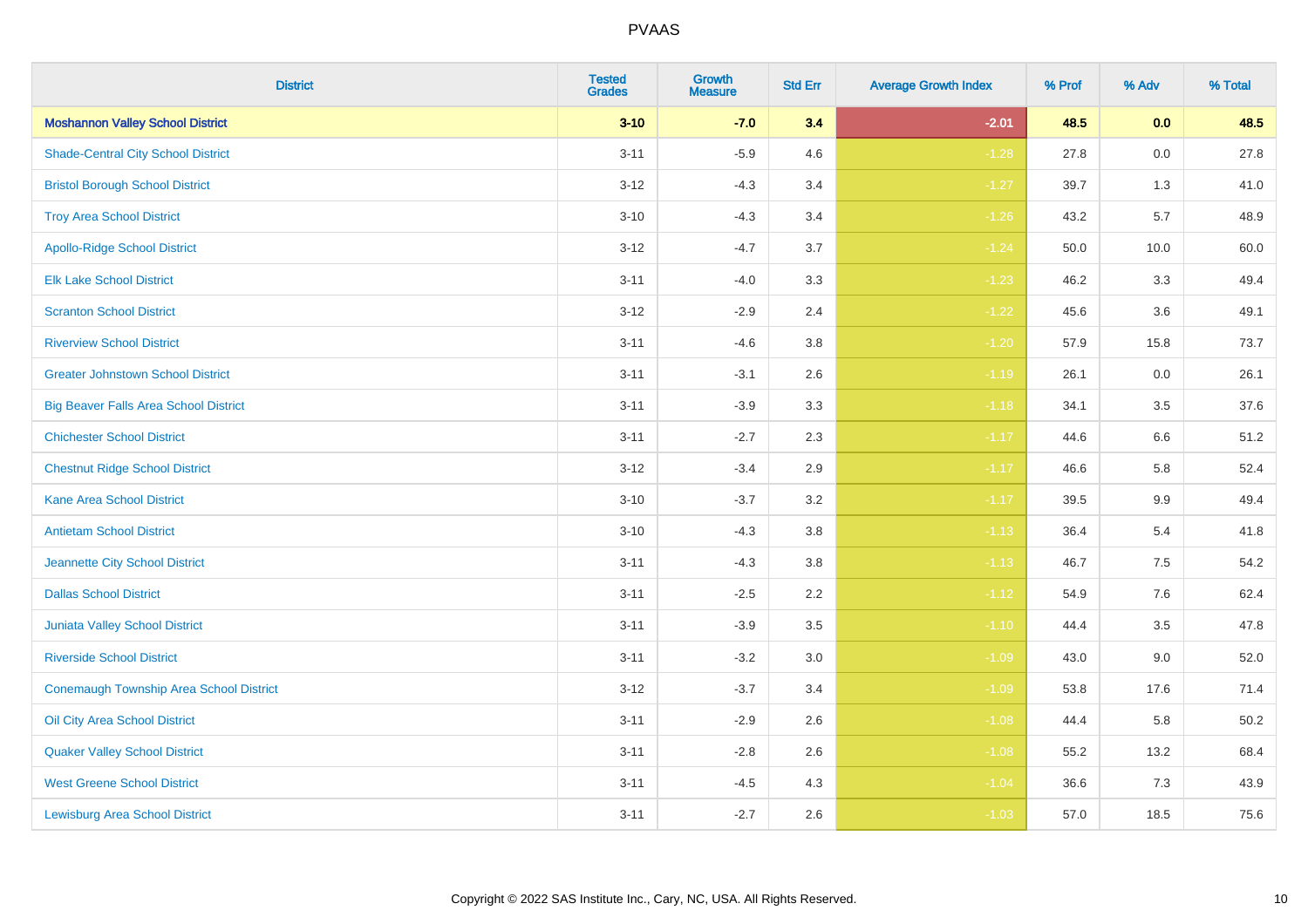| <b>District</b>                              | <b>Tested</b><br><b>Grades</b> | <b>Growth</b><br><b>Measure</b> | <b>Std Err</b> | <b>Average Growth Index</b> | % Prof | % Adv   | % Total |
|----------------------------------------------|--------------------------------|---------------------------------|----------------|-----------------------------|--------|---------|---------|
| <b>Moshannon Valley School District</b>      | $3 - 10$                       | $-7.0$                          | 3.4            | $-2.01$                     | 48.5   | 0.0     | 48.5    |
| <b>Shade-Central City School District</b>    | $3 - 11$                       | $-5.9$                          | 4.6            | $-1.28$                     | 27.8   | 0.0     | 27.8    |
| <b>Bristol Borough School District</b>       | $3 - 12$                       | $-4.3$                          | 3.4            | $-1.27$                     | 39.7   | 1.3     | 41.0    |
| <b>Troy Area School District</b>             | $3 - 10$                       | $-4.3$                          | 3.4            | $-1.26$                     | 43.2   | 5.7     | 48.9    |
| <b>Apollo-Ridge School District</b>          | $3 - 12$                       | $-4.7$                          | 3.7            | $-1.24$                     | 50.0   | 10.0    | 60.0    |
| <b>Elk Lake School District</b>              | $3 - 11$                       | $-4.0$                          | 3.3            | $-1.23$                     | 46.2   | 3.3     | 49.4    |
| <b>Scranton School District</b>              | $3 - 12$                       | $-2.9$                          | 2.4            | $-1.22$                     | 45.6   | 3.6     | 49.1    |
| <b>Riverview School District</b>             | $3 - 11$                       | $-4.6$                          | 3.8            | $-1.20$                     | 57.9   | 15.8    | 73.7    |
| <b>Greater Johnstown School District</b>     | $3 - 11$                       | $-3.1$                          | 2.6            | $-1.19$                     | 26.1   | 0.0     | 26.1    |
| <b>Big Beaver Falls Area School District</b> | $3 - 11$                       | $-3.9$                          | 3.3            | $-1.18$                     | 34.1   | 3.5     | 37.6    |
| <b>Chichester School District</b>            | $3 - 11$                       | $-2.7$                          | 2.3            | $-1.17$                     | 44.6   | 6.6     | 51.2    |
| <b>Chestnut Ridge School District</b>        | $3 - 12$                       | $-3.4$                          | 2.9            | $-1.17$                     | 46.6   | 5.8     | 52.4    |
| Kane Area School District                    | $3 - 10$                       | $-3.7$                          | $3.2\,$        | $-1.17$                     | 39.5   | $9.9\,$ | 49.4    |
| <b>Antietam School District</b>              | $3 - 10$                       | $-4.3$                          | 3.8            | $-1.13$                     | 36.4   | 5.4     | 41.8    |
| Jeannette City School District               | $3 - 11$                       | $-4.3$                          | 3.8            | $-1.13$                     | 46.7   | $7.5\,$ | 54.2    |
| <b>Dallas School District</b>                | $3 - 11$                       | $-2.5$                          | 2.2            | $-1.12$                     | 54.9   | 7.6     | 62.4    |
| Juniata Valley School District               | $3 - 11$                       | $-3.9$                          | 3.5            | $-1.10$                     | 44.4   | 3.5     | 47.8    |
| <b>Riverside School District</b>             | $3 - 11$                       | $-3.2$                          | 3.0            | $-1.09$                     | 43.0   | 9.0     | 52.0    |
| Conemaugh Township Area School District      | $3 - 12$                       | $-3.7$                          | 3.4            | $-1.09$                     | 53.8   | 17.6    | 71.4    |
| Oil City Area School District                | $3 - 11$                       | $-2.9$                          | 2.6            | $-1.08$                     | 44.4   | 5.8     | 50.2    |
| <b>Quaker Valley School District</b>         | $3 - 11$                       | $-2.8$                          | 2.6            | $-1.08$                     | 55.2   | 13.2    | 68.4    |
| <b>West Greene School District</b>           | $3 - 11$                       | $-4.5$                          | 4.3            | $-1.04$                     | 36.6   | 7.3     | 43.9    |
| <b>Lewisburg Area School District</b>        | $3 - 11$                       | $-2.7$                          | 2.6            | $-1.03$                     | 57.0   | 18.5    | 75.6    |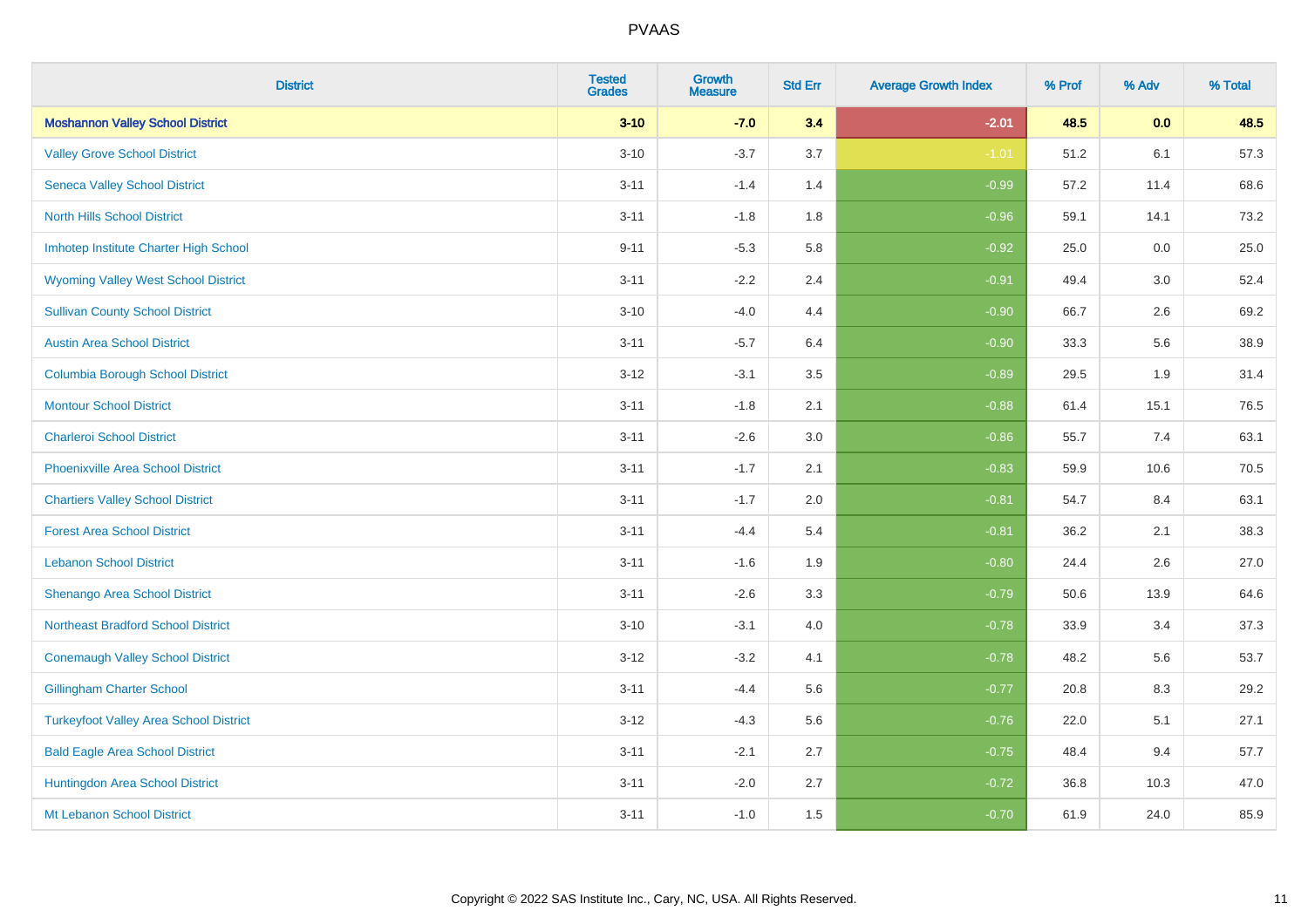| <b>District</b>                               | <b>Tested</b><br><b>Grades</b> | <b>Growth</b><br><b>Measure</b> | <b>Std Err</b> | <b>Average Growth Index</b> | % Prof | % Adv | % Total |
|-----------------------------------------------|--------------------------------|---------------------------------|----------------|-----------------------------|--------|-------|---------|
| <b>Moshannon Valley School District</b>       | $3 - 10$                       | $-7.0$                          | 3.4            | $-2.01$                     | 48.5   | 0.0   | 48.5    |
| <b>Valley Grove School District</b>           | $3 - 10$                       | $-3.7$                          | 3.7            | $-1.01$                     | 51.2   | 6.1   | 57.3    |
| <b>Seneca Valley School District</b>          | $3 - 11$                       | $-1.4$                          | 1.4            | $-0.99$                     | 57.2   | 11.4  | 68.6    |
| <b>North Hills School District</b>            | $3 - 11$                       | $-1.8$                          | 1.8            | $-0.96$                     | 59.1   | 14.1  | 73.2    |
| Imhotep Institute Charter High School         | $9 - 11$                       | $-5.3$                          | 5.8            | $-0.92$                     | 25.0   | 0.0   | 25.0    |
| <b>Wyoming Valley West School District</b>    | $3 - 11$                       | $-2.2$                          | 2.4            | $-0.91$                     | 49.4   | 3.0   | 52.4    |
| <b>Sullivan County School District</b>        | $3 - 10$                       | $-4.0$                          | 4.4            | $-0.90$                     | 66.7   | 2.6   | 69.2    |
| <b>Austin Area School District</b>            | $3 - 11$                       | $-5.7$                          | 6.4            | $-0.90$                     | 33.3   | 5.6   | 38.9    |
| <b>Columbia Borough School District</b>       | $3 - 12$                       | $-3.1$                          | 3.5            | $-0.89$                     | 29.5   | 1.9   | 31.4    |
| <b>Montour School District</b>                | $3 - 11$                       | $-1.8$                          | 2.1            | $-0.88$                     | 61.4   | 15.1  | 76.5    |
| <b>Charleroi School District</b>              | $3 - 11$                       | $-2.6$                          | 3.0            | $-0.86$                     | 55.7   | 7.4   | 63.1    |
| <b>Phoenixville Area School District</b>      | $3 - 11$                       | $-1.7$                          | 2.1            | $-0.83$                     | 59.9   | 10.6  | 70.5    |
| <b>Chartiers Valley School District</b>       | $3 - 11$                       | $-1.7$                          | 2.0            | $-0.81$                     | 54.7   | 8.4   | 63.1    |
| <b>Forest Area School District</b>            | $3 - 11$                       | $-4.4$                          | 5.4            | $-0.81$                     | 36.2   | 2.1   | 38.3    |
| <b>Lebanon School District</b>                | $3 - 11$                       | $-1.6$                          | 1.9            | $-0.80$                     | 24.4   | 2.6   | 27.0    |
| Shenango Area School District                 | $3 - 11$                       | $-2.6$                          | 3.3            | $-0.79$                     | 50.6   | 13.9  | 64.6    |
| <b>Northeast Bradford School District</b>     | $3 - 10$                       | $-3.1$                          | 4.0            | $-0.78$                     | 33.9   | 3.4   | 37.3    |
| <b>Conemaugh Valley School District</b>       | $3 - 12$                       | $-3.2$                          | 4.1            | $-0.78$                     | 48.2   | 5.6   | 53.7    |
| <b>Gillingham Charter School</b>              | $3 - 11$                       | $-4.4$                          | 5.6            | $-0.77$                     | 20.8   | 8.3   | 29.2    |
| <b>Turkeyfoot Valley Area School District</b> | $3 - 12$                       | $-4.3$                          | 5.6            | $-0.76$                     | 22.0   | 5.1   | 27.1    |
| <b>Bald Eagle Area School District</b>        | $3 - 11$                       | $-2.1$                          | 2.7            | $-0.75$                     | 48.4   | 9.4   | 57.7    |
| Huntingdon Area School District               | $3 - 11$                       | $-2.0$                          | 2.7            | $-0.72$                     | 36.8   | 10.3  | 47.0    |
| Mt Lebanon School District                    | $3 - 11$                       | $-1.0$                          | 1.5            | $-0.70$                     | 61.9   | 24.0  | 85.9    |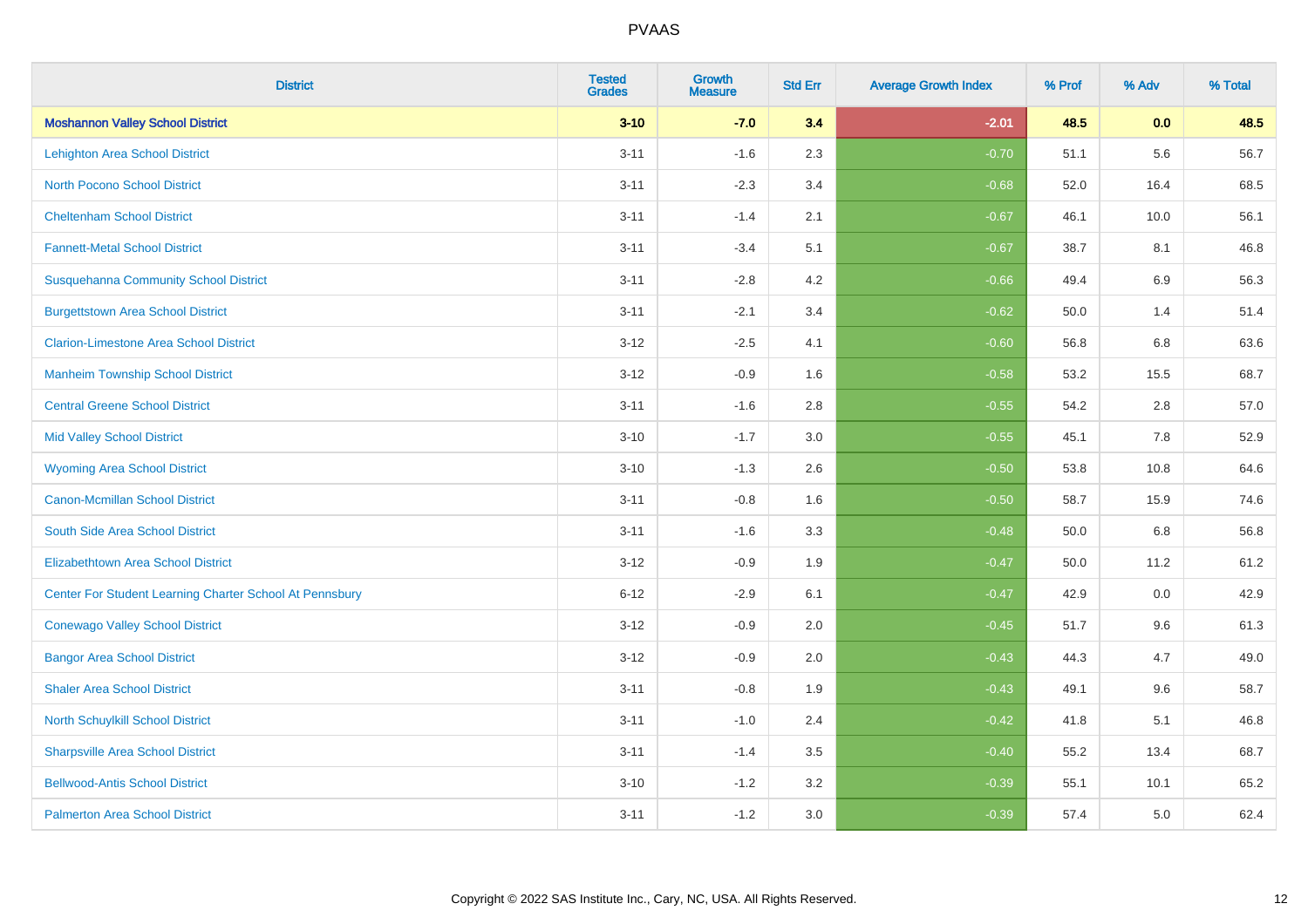| <b>District</b>                                         | <b>Tested</b><br><b>Grades</b> | <b>Growth</b><br><b>Measure</b> | <b>Std Err</b> | <b>Average Growth Index</b> | % Prof | % Adv | % Total |
|---------------------------------------------------------|--------------------------------|---------------------------------|----------------|-----------------------------|--------|-------|---------|
| <b>Moshannon Valley School District</b>                 | $3 - 10$                       | $-7.0$                          | 3.4            | $-2.01$                     | 48.5   | 0.0   | 48.5    |
| <b>Lehighton Area School District</b>                   | $3 - 11$                       | $-1.6$                          | 2.3            | $-0.70$                     | 51.1   | 5.6   | 56.7    |
| <b>North Pocono School District</b>                     | $3 - 11$                       | $-2.3$                          | 3.4            | $-0.68$                     | 52.0   | 16.4  | 68.5    |
| <b>Cheltenham School District</b>                       | $3 - 11$                       | $-1.4$                          | 2.1            | $-0.67$                     | 46.1   | 10.0  | 56.1    |
| <b>Fannett-Metal School District</b>                    | $3 - 11$                       | $-3.4$                          | 5.1            | $-0.67$                     | 38.7   | 8.1   | 46.8    |
| <b>Susquehanna Community School District</b>            | $3 - 11$                       | $-2.8$                          | 4.2            | $-0.66$                     | 49.4   | 6.9   | 56.3    |
| <b>Burgettstown Area School District</b>                | $3 - 11$                       | $-2.1$                          | 3.4            | $-0.62$                     | 50.0   | 1.4   | 51.4    |
| <b>Clarion-Limestone Area School District</b>           | $3 - 12$                       | $-2.5$                          | 4.1            | $-0.60$                     | 56.8   | 6.8   | 63.6    |
| <b>Manheim Township School District</b>                 | $3 - 12$                       | $-0.9$                          | 1.6            | $-0.58$                     | 53.2   | 15.5  | 68.7    |
| <b>Central Greene School District</b>                   | $3 - 11$                       | $-1.6$                          | 2.8            | $-0.55$                     | 54.2   | 2.8   | 57.0    |
| <b>Mid Valley School District</b>                       | $3 - 10$                       | $-1.7$                          | 3.0            | $-0.55$                     | 45.1   | 7.8   | 52.9    |
| <b>Wyoming Area School District</b>                     | $3 - 10$                       | $-1.3$                          | 2.6            | $-0.50$                     | 53.8   | 10.8  | 64.6    |
| Canon-Mcmillan School District                          | $3 - 11$                       | $-0.8$                          | 1.6            | $-0.50$                     | 58.7   | 15.9  | 74.6    |
| South Side Area School District                         | $3 - 11$                       | $-1.6$                          | 3.3            | $-0.48$                     | 50.0   | 6.8   | 56.8    |
| <b>Elizabethtown Area School District</b>               | $3 - 12$                       | $-0.9$                          | 1.9            | $-0.47$                     | 50.0   | 11.2  | 61.2    |
| Center For Student Learning Charter School At Pennsbury | $6 - 12$                       | $-2.9$                          | 6.1            | $-0.47$                     | 42.9   | 0.0   | 42.9    |
| <b>Conewago Valley School District</b>                  | $3 - 12$                       | $-0.9$                          | 2.0            | $-0.45$                     | 51.7   | 9.6   | 61.3    |
| <b>Bangor Area School District</b>                      | $3 - 12$                       | $-0.9$                          | 2.0            | $-0.43$                     | 44.3   | 4.7   | 49.0    |
| <b>Shaler Area School District</b>                      | $3 - 11$                       | $-0.8$                          | 1.9            | $-0.43$                     | 49.1   | 9.6   | 58.7    |
| North Schuylkill School District                        | $3 - 11$                       | $-1.0$                          | 2.4            | $-0.42$                     | 41.8   | 5.1   | 46.8    |
| <b>Sharpsville Area School District</b>                 | $3 - 11$                       | $-1.4$                          | 3.5            | $-0.40$                     | 55.2   | 13.4  | 68.7    |
| <b>Bellwood-Antis School District</b>                   | $3 - 10$                       | $-1.2$                          | 3.2            | $-0.39$                     | 55.1   | 10.1  | 65.2    |
| <b>Palmerton Area School District</b>                   | $3 - 11$                       | $-1.2$                          | 3.0            | $-0.39$                     | 57.4   | 5.0   | 62.4    |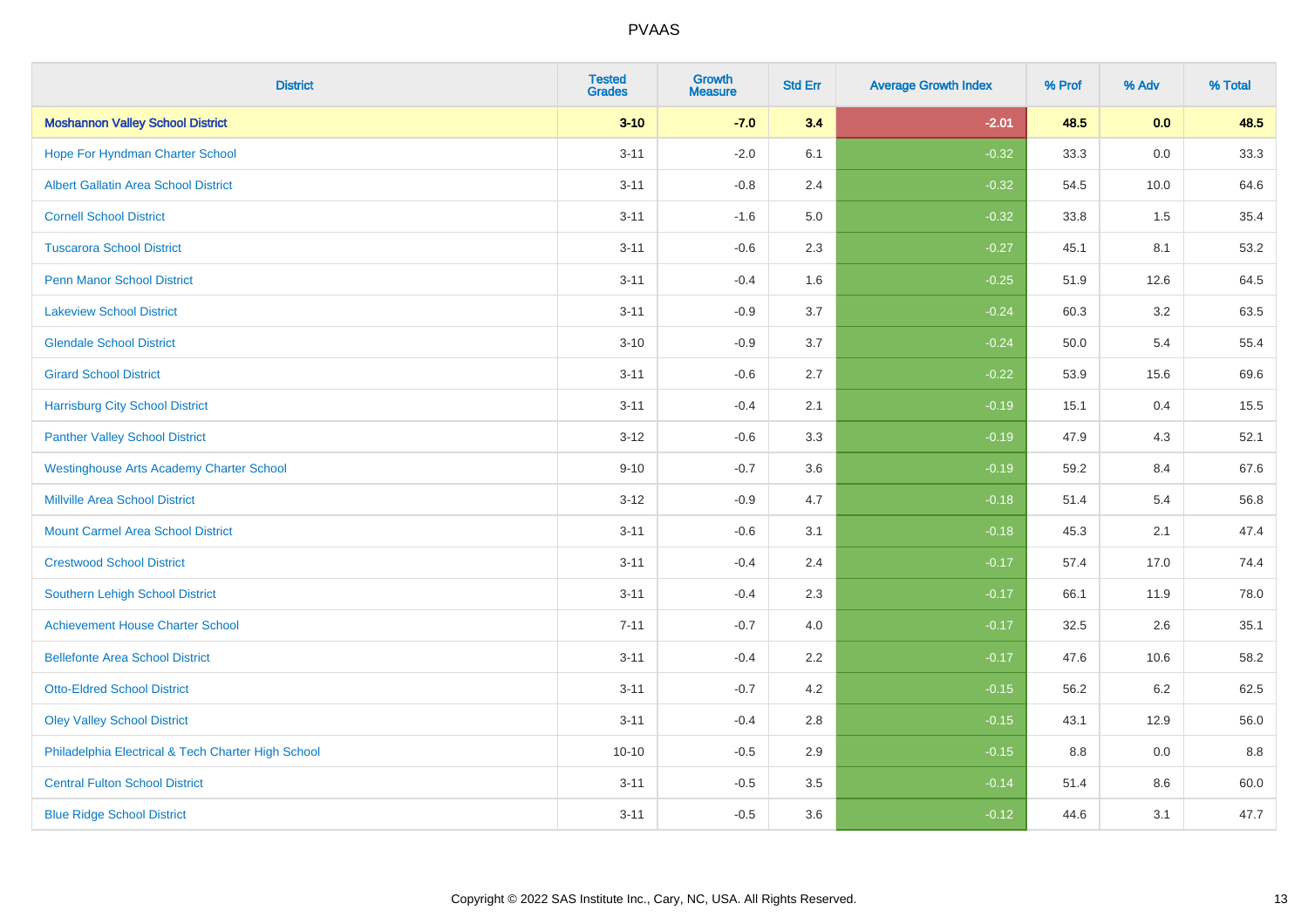| <b>District</b>                                    | <b>Tested</b><br><b>Grades</b> | <b>Growth</b><br><b>Measure</b> | <b>Std Err</b> | <b>Average Growth Index</b> | % Prof | % Adv   | % Total |
|----------------------------------------------------|--------------------------------|---------------------------------|----------------|-----------------------------|--------|---------|---------|
| <b>Moshannon Valley School District</b>            | $3 - 10$                       | $-7.0$                          | 3.4            | $-2.01$                     | 48.5   | 0.0     | 48.5    |
| Hope For Hyndman Charter School                    | $3 - 11$                       | $-2.0$                          | 6.1            | $-0.32$                     | 33.3   | 0.0     | 33.3    |
| <b>Albert Gallatin Area School District</b>        | $3 - 11$                       | $-0.8$                          | 2.4            | $-0.32$                     | 54.5   | 10.0    | 64.6    |
| <b>Cornell School District</b>                     | $3 - 11$                       | $-1.6$                          | 5.0            | $-0.32$                     | 33.8   | 1.5     | 35.4    |
| <b>Tuscarora School District</b>                   | $3 - 11$                       | $-0.6$                          | 2.3            | $-0.27$                     | 45.1   | 8.1     | 53.2    |
| <b>Penn Manor School District</b>                  | $3 - 11$                       | $-0.4$                          | 1.6            | $-0.25$                     | 51.9   | 12.6    | 64.5    |
| <b>Lakeview School District</b>                    | $3 - 11$                       | $-0.9$                          | 3.7            | $-0.24$                     | 60.3   | 3.2     | 63.5    |
| <b>Glendale School District</b>                    | $3 - 10$                       | $-0.9$                          | 3.7            | $-0.24$                     | 50.0   | 5.4     | 55.4    |
| <b>Girard School District</b>                      | $3 - 11$                       | $-0.6$                          | 2.7            | $-0.22$                     | 53.9   | 15.6    | 69.6    |
| <b>Harrisburg City School District</b>             | $3 - 11$                       | $-0.4$                          | 2.1            | $-0.19$                     | 15.1   | 0.4     | 15.5    |
| <b>Panther Valley School District</b>              | $3 - 12$                       | $-0.6$                          | 3.3            | $-0.19$                     | 47.9   | 4.3     | 52.1    |
| <b>Westinghouse Arts Academy Charter School</b>    | $9 - 10$                       | $-0.7$                          | 3.6            | $-0.19$                     | 59.2   | 8.4     | 67.6    |
| <b>Millville Area School District</b>              | $3 - 12$                       | $-0.9$                          | 4.7            | $-0.18$                     | 51.4   | 5.4     | 56.8    |
| <b>Mount Carmel Area School District</b>           | $3 - 11$                       | $-0.6$                          | 3.1            | $-0.18$                     | 45.3   | 2.1     | 47.4    |
| <b>Crestwood School District</b>                   | $3 - 11$                       | $-0.4$                          | 2.4            | $-0.17$                     | 57.4   | 17.0    | 74.4    |
| Southern Lehigh School District                    | $3 - 11$                       | $-0.4$                          | 2.3            | $-0.17$                     | 66.1   | 11.9    | 78.0    |
| <b>Achievement House Charter School</b>            | $7 - 11$                       | $-0.7$                          | 4.0            | $-0.17$                     | 32.5   | $2.6\,$ | 35.1    |
| <b>Bellefonte Area School District</b>             | $3 - 11$                       | $-0.4$                          | 2.2            | $-0.17$                     | 47.6   | 10.6    | 58.2    |
| <b>Otto-Eldred School District</b>                 | $3 - 11$                       | $-0.7$                          | 4.2            | $-0.15$                     | 56.2   | $6.2\,$ | 62.5    |
| <b>Oley Valley School District</b>                 | $3 - 11$                       | $-0.4$                          | 2.8            | $-0.15$                     | 43.1   | 12.9    | 56.0    |
| Philadelphia Electrical & Tech Charter High School | $10 - 10$                      | $-0.5$                          | 2.9            | $-0.15$                     | 8.8    | 0.0     | 8.8     |
| <b>Central Fulton School District</b>              | $3 - 11$                       | $-0.5$                          | 3.5            | $-0.14$                     | 51.4   | 8.6     | 60.0    |
| <b>Blue Ridge School District</b>                  | $3 - 11$                       | $-0.5$                          | 3.6            | $-0.12$                     | 44.6   | 3.1     | 47.7    |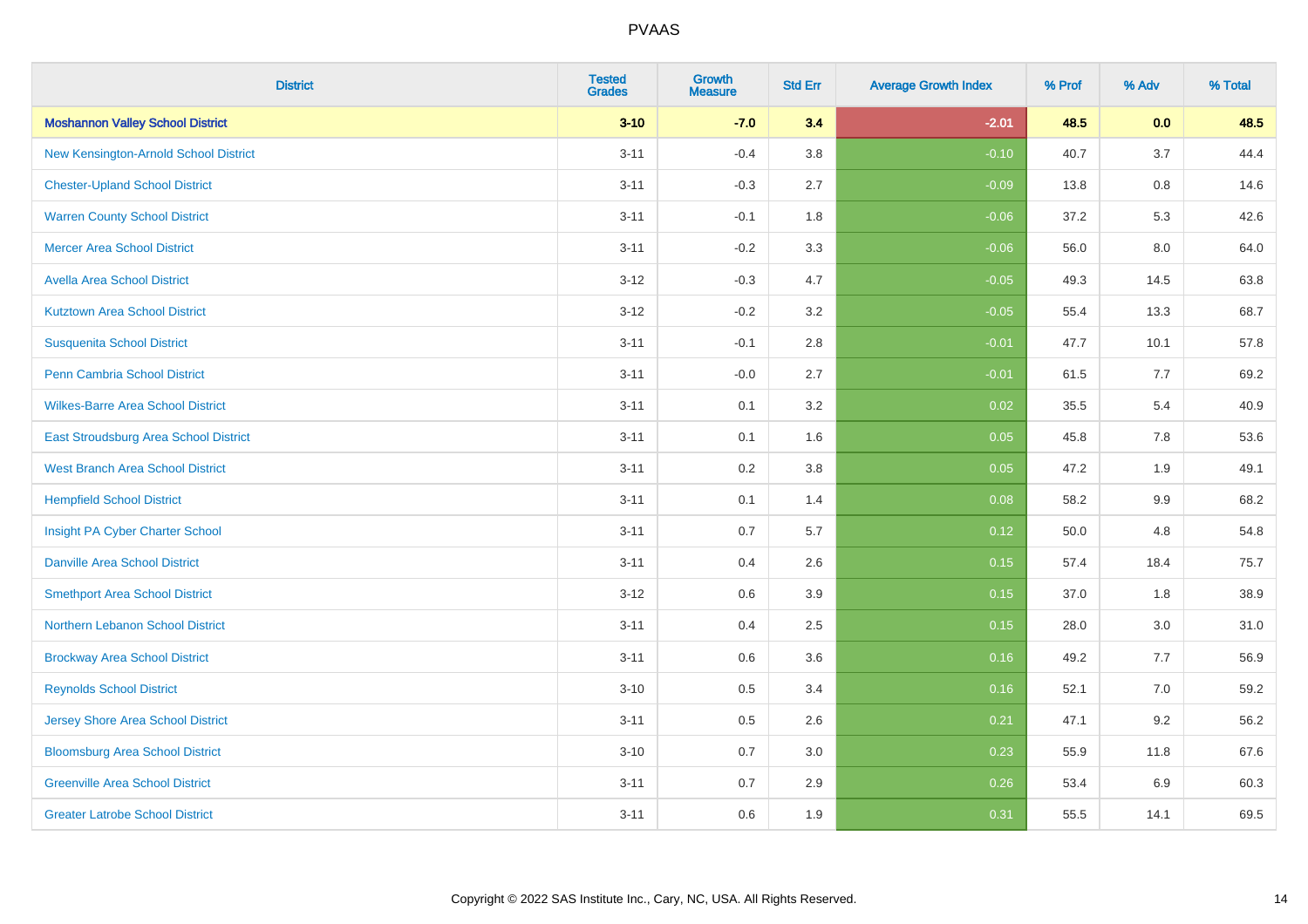| <b>District</b>                          | <b>Tested</b><br><b>Grades</b> | <b>Growth</b><br><b>Measure</b> | <b>Std Err</b> | <b>Average Growth Index</b> | % Prof | % Adv | % Total |
|------------------------------------------|--------------------------------|---------------------------------|----------------|-----------------------------|--------|-------|---------|
| <b>Moshannon Valley School District</b>  | $3 - 10$                       | $-7.0$                          | 3.4            | $-2.01$                     | 48.5   | 0.0   | 48.5    |
| New Kensington-Arnold School District    | $3 - 11$                       | $-0.4$                          | 3.8            | $-0.10$                     | 40.7   | 3.7   | 44.4    |
| <b>Chester-Upland School District</b>    | $3 - 11$                       | $-0.3$                          | 2.7            | $-0.09$                     | 13.8   | 0.8   | 14.6    |
| <b>Warren County School District</b>     | $3 - 11$                       | $-0.1$                          | 1.8            | $-0.06$                     | 37.2   | 5.3   | 42.6    |
| <b>Mercer Area School District</b>       | $3 - 11$                       | $-0.2$                          | 3.3            | $-0.06$                     | 56.0   | 8.0   | 64.0    |
| <b>Avella Area School District</b>       | $3 - 12$                       | $-0.3$                          | 4.7            | $-0.05$                     | 49.3   | 14.5  | 63.8    |
| <b>Kutztown Area School District</b>     | $3 - 12$                       | $-0.2$                          | 3.2            | $-0.05$                     | 55.4   | 13.3  | 68.7    |
| <b>Susquenita School District</b>        | $3 - 11$                       | $-0.1$                          | 2.8            | $-0.01$                     | 47.7   | 10.1  | 57.8    |
| <b>Penn Cambria School District</b>      | $3 - 11$                       | $-0.0$                          | 2.7            | $-0.01$                     | 61.5   | 7.7   | 69.2    |
| <b>Wilkes-Barre Area School District</b> | $3 - 11$                       | 0.1                             | 3.2            | 0.02                        | 35.5   | 5.4   | 40.9    |
| East Stroudsburg Area School District    | $3 - 11$                       | 0.1                             | 1.6            | 0.05                        | 45.8   | 7.8   | 53.6    |
| <b>West Branch Area School District</b>  | $3 - 11$                       | 0.2                             | 3.8            | 0.05                        | 47.2   | 1.9   | 49.1    |
| <b>Hempfield School District</b>         | $3 - 11$                       | 0.1                             | 1.4            | 0.08                        | 58.2   | 9.9   | 68.2    |
| Insight PA Cyber Charter School          | $3 - 11$                       | 0.7                             | 5.7            | 0.12                        | 50.0   | 4.8   | 54.8    |
| <b>Danville Area School District</b>     | $3 - 11$                       | 0.4                             | 2.6            | 0.15                        | 57.4   | 18.4  | 75.7    |
| <b>Smethport Area School District</b>    | $3 - 12$                       | 0.6                             | 3.9            | 0.15                        | 37.0   | 1.8   | 38.9    |
| <b>Northern Lebanon School District</b>  | $3 - 11$                       | 0.4                             | 2.5            | 0.15                        | 28.0   | 3.0   | 31.0    |
| <b>Brockway Area School District</b>     | $3 - 11$                       | 0.6                             | 3.6            | 0.16                        | 49.2   | 7.7   | 56.9    |
| <b>Reynolds School District</b>          | $3 - 10$                       | 0.5                             | 3.4            | 0.16                        | 52.1   | 7.0   | 59.2    |
| <b>Jersey Shore Area School District</b> | $3 - 11$                       | 0.5                             | 2.6            | 0.21                        | 47.1   | 9.2   | 56.2    |
| <b>Bloomsburg Area School District</b>   | $3 - 10$                       | 0.7                             | 3.0            | 0.23                        | 55.9   | 11.8  | 67.6    |
| <b>Greenville Area School District</b>   | $3 - 11$                       | 0.7                             | 2.9            | 0.26                        | 53.4   | 6.9   | 60.3    |
| <b>Greater Latrobe School District</b>   | $3 - 11$                       | 0.6                             | 1.9            | 0.31                        | 55.5   | 14.1  | 69.5    |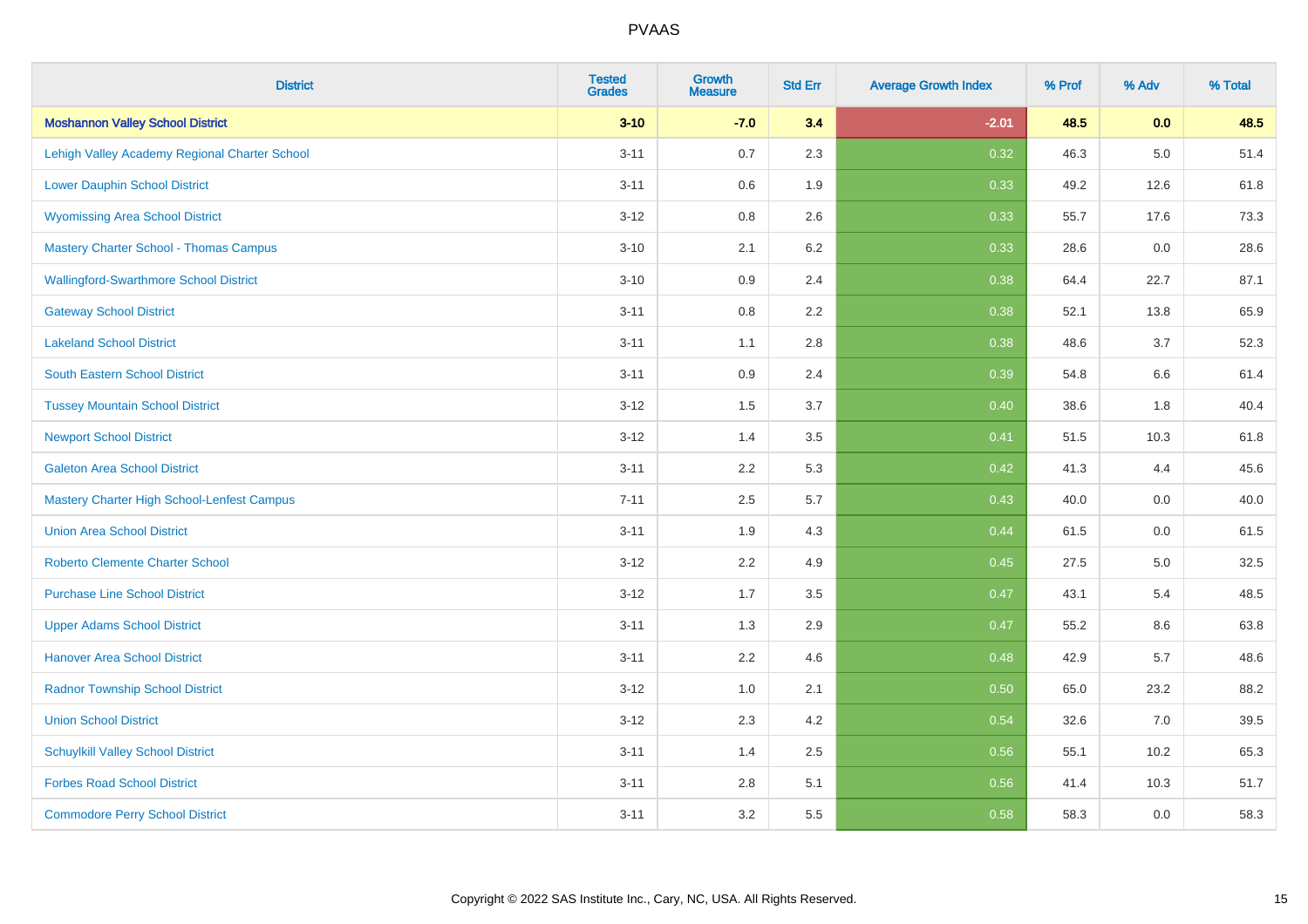| <b>District</b>                                   | <b>Tested</b><br><b>Grades</b> | <b>Growth</b><br><b>Measure</b> | <b>Std Err</b> | <b>Average Growth Index</b> | % Prof | % Adv | % Total |
|---------------------------------------------------|--------------------------------|---------------------------------|----------------|-----------------------------|--------|-------|---------|
| <b>Moshannon Valley School District</b>           | $3 - 10$                       | $-7.0$                          | 3.4            | $-2.01$                     | 48.5   | 0.0   | 48.5    |
| Lehigh Valley Academy Regional Charter School     | $3 - 11$                       | 0.7                             | 2.3            | 0.32                        | 46.3   | 5.0   | 51.4    |
| <b>Lower Dauphin School District</b>              | $3 - 11$                       | 0.6                             | 1.9            | 0.33                        | 49.2   | 12.6  | 61.8    |
| <b>Wyomissing Area School District</b>            | $3 - 12$                       | 0.8                             | 2.6            | 0.33                        | 55.7   | 17.6  | 73.3    |
| <b>Mastery Charter School - Thomas Campus</b>     | $3 - 10$                       | 2.1                             | 6.2            | 0.33                        | 28.6   | 0.0   | 28.6    |
| <b>Wallingford-Swarthmore School District</b>     | $3 - 10$                       | 0.9                             | 2.4            | 0.38                        | 64.4   | 22.7  | 87.1    |
| <b>Gateway School District</b>                    | $3 - 11$                       | $0.8\,$                         | 2.2            | 0.38                        | 52.1   | 13.8  | 65.9    |
| <b>Lakeland School District</b>                   | $3 - 11$                       | 1.1                             | 2.8            | 0.38                        | 48.6   | 3.7   | 52.3    |
| <b>South Eastern School District</b>              | $3 - 11$                       | 0.9                             | 2.4            | 0.39                        | 54.8   | 6.6   | 61.4    |
| <b>Tussey Mountain School District</b>            | $3 - 12$                       | 1.5                             | 3.7            | 0.40                        | 38.6   | 1.8   | 40.4    |
| <b>Newport School District</b>                    | $3 - 12$                       | 1.4                             | 3.5            | $\overline{0.41}$           | 51.5   | 10.3  | 61.8    |
| <b>Galeton Area School District</b>               | $3 - 11$                       | 2.2                             | 5.3            | 0.42                        | 41.3   | 4.4   | 45.6    |
| <b>Mastery Charter High School-Lenfest Campus</b> | $7 - 11$                       | 2.5                             | 5.7            | 0.43                        | 40.0   | 0.0   | 40.0    |
| <b>Union Area School District</b>                 | $3 - 11$                       | 1.9                             | 4.3            | 0.44                        | 61.5   | 0.0   | 61.5    |
| <b>Roberto Clemente Charter School</b>            | $3 - 12$                       | 2.2                             | 4.9            | 0.45                        | 27.5   | 5.0   | 32.5    |
| <b>Purchase Line School District</b>              | $3 - 12$                       | 1.7                             | 3.5            | 0.47                        | 43.1   | 5.4   | 48.5    |
| <b>Upper Adams School District</b>                | $3 - 11$                       | 1.3                             | 2.9            | 0.47                        | 55.2   | 8.6   | 63.8    |
| <b>Hanover Area School District</b>               | $3 - 11$                       | 2.2                             | 4.6            | 0.48                        | 42.9   | 5.7   | 48.6    |
| <b>Radnor Township School District</b>            | $3 - 12$                       | 1.0                             | 2.1            | 0.50                        | 65.0   | 23.2  | 88.2    |
| <b>Union School District</b>                      | $3 - 12$                       | 2.3                             | 4.2            | 0.54                        | 32.6   | 7.0   | 39.5    |
| <b>Schuylkill Valley School District</b>          | $3 - 11$                       | 1.4                             | 2.5            | 0.56                        | 55.1   | 10.2  | 65.3    |
| <b>Forbes Road School District</b>                | $3 - 11$                       | 2.8                             | 5.1            | 0.56                        | 41.4   | 10.3  | 51.7    |
| <b>Commodore Perry School District</b>            | $3 - 11$                       | 3.2                             | 5.5            | 0.58                        | 58.3   | 0.0   | 58.3    |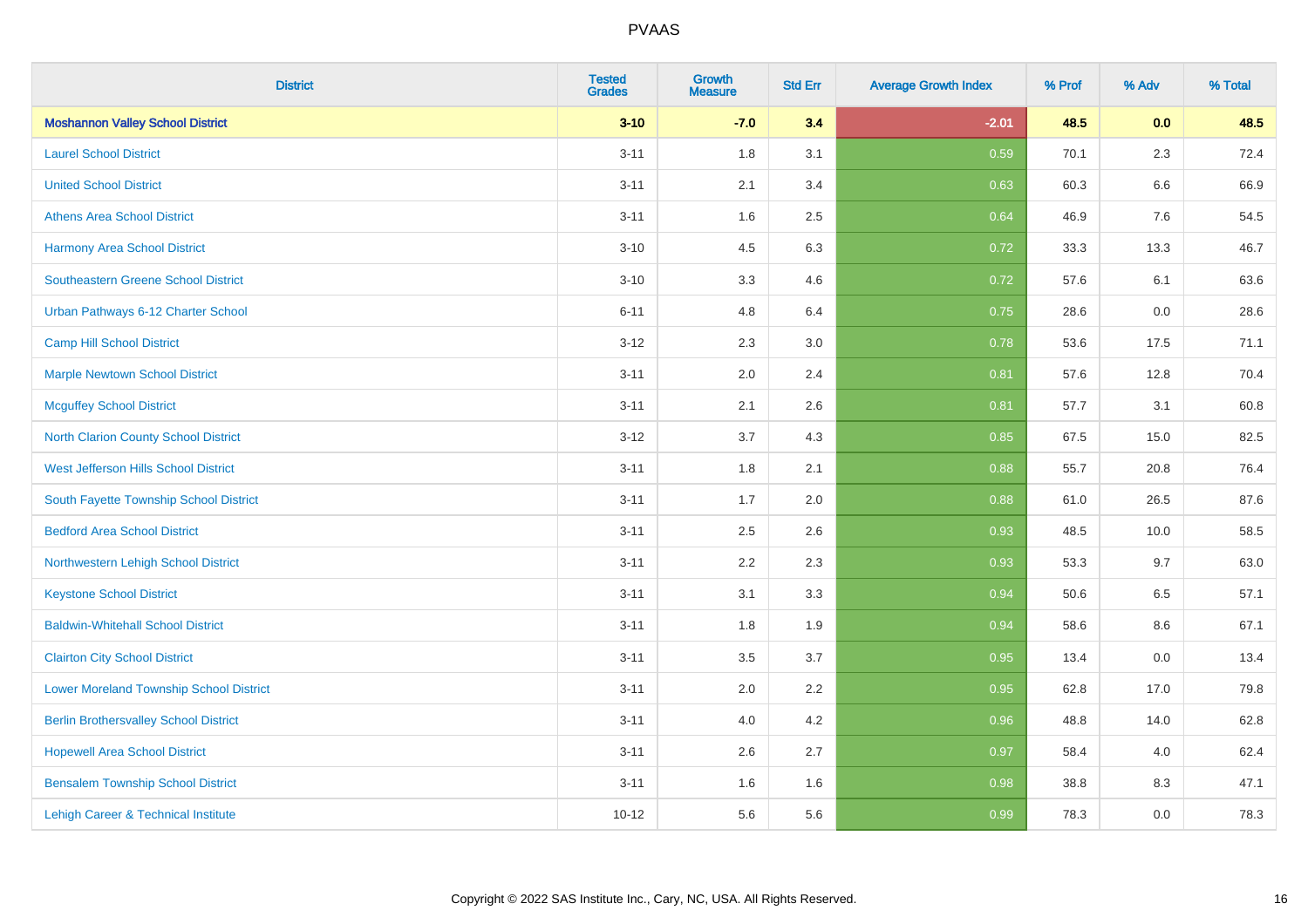| <b>District</b>                                | <b>Tested</b><br><b>Grades</b> | <b>Growth</b><br><b>Measure</b> | <b>Std Err</b> | <b>Average Growth Index</b> | % Prof | % Adv   | % Total |
|------------------------------------------------|--------------------------------|---------------------------------|----------------|-----------------------------|--------|---------|---------|
| <b>Moshannon Valley School District</b>        | $3 - 10$                       | $-7.0$                          | 3.4            | $-2.01$                     | 48.5   | 0.0     | 48.5    |
| <b>Laurel School District</b>                  | $3 - 11$                       | 1.8                             | 3.1            | 0.59                        | 70.1   | 2.3     | 72.4    |
| <b>United School District</b>                  | $3 - 11$                       | 2.1                             | 3.4            | 0.63                        | 60.3   | $6.6\,$ | 66.9    |
| <b>Athens Area School District</b>             | $3 - 11$                       | 1.6                             | 2.5            | 0.64                        | 46.9   | 7.6     | 54.5    |
| <b>Harmony Area School District</b>            | $3 - 10$                       | 4.5                             | 6.3            | 0.72                        | 33.3   | 13.3    | 46.7    |
| <b>Southeastern Greene School District</b>     | $3 - 10$                       | 3.3                             | 4.6            | 0.72                        | 57.6   | 6.1     | 63.6    |
| Urban Pathways 6-12 Charter School             | $6 - 11$                       | 4.8                             | 6.4            | 0.75                        | 28.6   | 0.0     | 28.6    |
| <b>Camp Hill School District</b>               | $3 - 12$                       | 2.3                             | 3.0            | 0.78                        | 53.6   | 17.5    | 71.1    |
| <b>Marple Newtown School District</b>          | $3 - 11$                       | 2.0                             | 2.4            | 0.81                        | 57.6   | 12.8    | 70.4    |
| <b>Mcguffey School District</b>                | $3 - 11$                       | 2.1                             | 2.6            | 0.81                        | 57.7   | 3.1     | 60.8    |
| North Clarion County School District           | $3 - 12$                       | 3.7                             | 4.3            | 0.85                        | 67.5   | 15.0    | 82.5    |
| West Jefferson Hills School District           | $3 - 11$                       | 1.8                             | 2.1            | 0.88                        | 55.7   | 20.8    | 76.4    |
| South Fayette Township School District         | $3 - 11$                       | 1.7                             | 2.0            | 0.88                        | 61.0   | 26.5    | 87.6    |
| <b>Bedford Area School District</b>            | $3 - 11$                       | 2.5                             | 2.6            | 0.93                        | 48.5   | 10.0    | 58.5    |
| Northwestern Lehigh School District            | $3 - 11$                       | 2.2                             | 2.3            | 0.93                        | 53.3   | 9.7     | 63.0    |
| <b>Keystone School District</b>                | $3 - 11$                       | 3.1                             | 3.3            | 0.94                        | 50.6   | 6.5     | 57.1    |
| <b>Baldwin-Whitehall School District</b>       | $3 - 11$                       | 1.8                             | 1.9            | 0.94                        | 58.6   | 8.6     | 67.1    |
| <b>Clairton City School District</b>           | $3 - 11$                       | 3.5                             | 3.7            | 0.95                        | 13.4   | 0.0     | 13.4    |
| <b>Lower Moreland Township School District</b> | $3 - 11$                       | 2.0                             | 2.2            | 0.95                        | 62.8   | 17.0    | 79.8    |
| <b>Berlin Brothersvalley School District</b>   | $3 - 11$                       | 4.0                             | 4.2            | 0.96                        | 48.8   | 14.0    | 62.8    |
| <b>Hopewell Area School District</b>           | $3 - 11$                       | 2.6                             | 2.7            | 0.97                        | 58.4   | 4.0     | 62.4    |
| <b>Bensalem Township School District</b>       | $3 - 11$                       | 1.6                             | 1.6            | 0.98                        | 38.8   | 8.3     | 47.1    |
| Lehigh Career & Technical Institute            | $10 - 12$                      | 5.6                             | 5.6            | 0.99                        | 78.3   | 0.0     | 78.3    |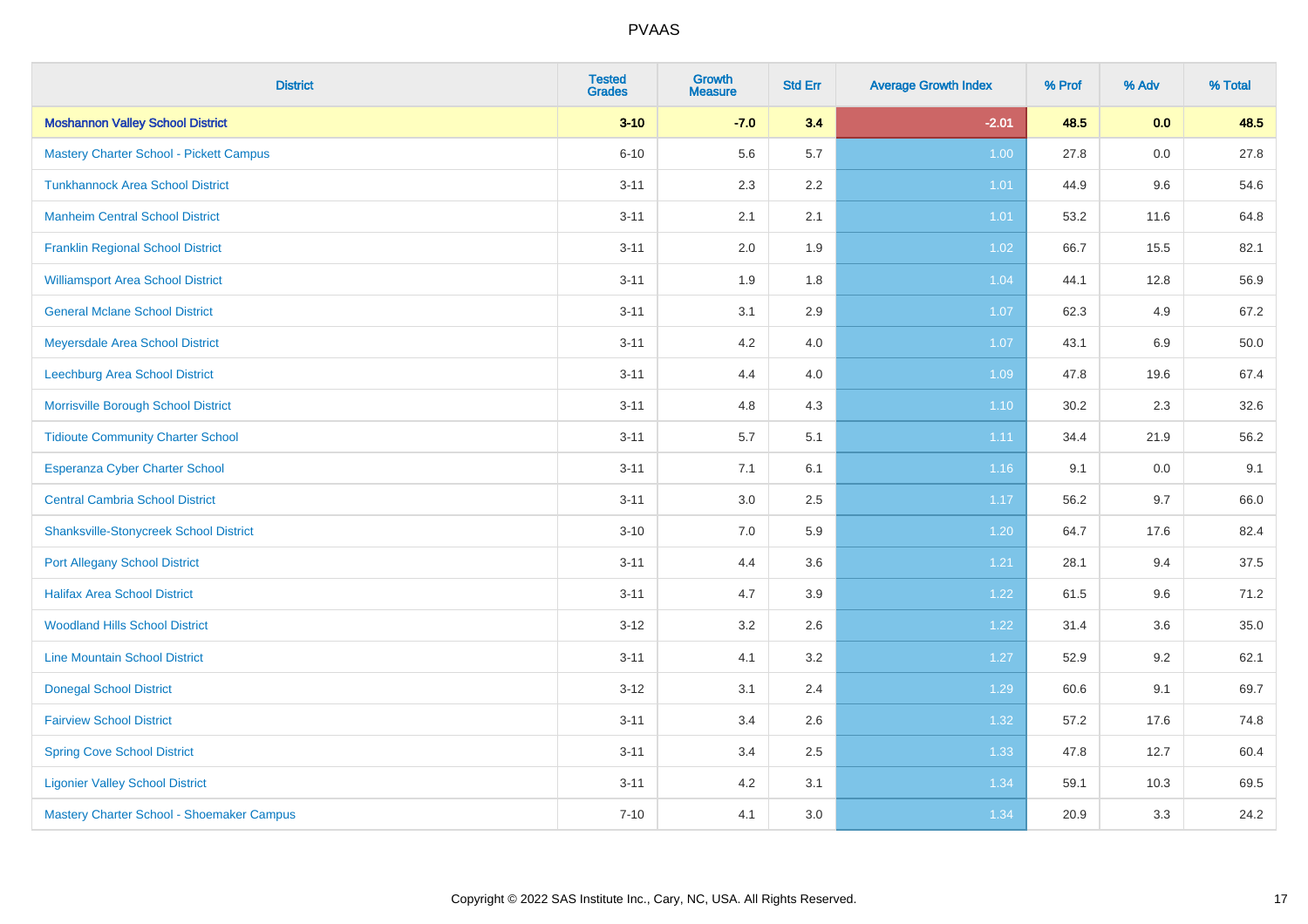| <b>District</b>                                | <b>Tested</b><br><b>Grades</b> | <b>Growth</b><br><b>Measure</b> | <b>Std Err</b> | <b>Average Growth Index</b> | % Prof | % Adv | % Total |
|------------------------------------------------|--------------------------------|---------------------------------|----------------|-----------------------------|--------|-------|---------|
| <b>Moshannon Valley School District</b>        | $3 - 10$                       | $-7.0$                          | 3.4            | $-2.01$                     | 48.5   | 0.0   | 48.5    |
| <b>Mastery Charter School - Pickett Campus</b> | $6 - 10$                       | 5.6                             | 5.7            | 1.00                        | 27.8   | 0.0   | 27.8    |
| <b>Tunkhannock Area School District</b>        | $3 - 11$                       | 2.3                             | 2.2            | 1.01                        | 44.9   | 9.6   | 54.6    |
| <b>Manheim Central School District</b>         | $3 - 11$                       | 2.1                             | 2.1            | 1.01                        | 53.2   | 11.6  | 64.8    |
| <b>Franklin Regional School District</b>       | $3 - 11$                       | 2.0                             | 1.9            | 1.02                        | 66.7   | 15.5  | 82.1    |
| <b>Williamsport Area School District</b>       | $3 - 11$                       | 1.9                             | 1.8            | 1.04                        | 44.1   | 12.8  | 56.9    |
| <b>General Mclane School District</b>          | $3 - 11$                       | 3.1                             | 2.9            | 1.07                        | 62.3   | 4.9   | 67.2    |
| Meyersdale Area School District                | $3 - 11$                       | 4.2                             | 4.0            | 1.07                        | 43.1   | 6.9   | 50.0    |
| Leechburg Area School District                 | $3 - 11$                       | 4.4                             | 4.0            | 1.09                        | 47.8   | 19.6  | 67.4    |
| Morrisville Borough School District            | $3 - 11$                       | 4.8                             | 4.3            | 1.10                        | 30.2   | 2.3   | 32.6    |
| <b>Tidioute Community Charter School</b>       | $3 - 11$                       | 5.7                             | 5.1            | 1.11                        | 34.4   | 21.9  | 56.2    |
| Esperanza Cyber Charter School                 | $3 - 11$                       | 7.1                             | 6.1            | 1.16                        | 9.1    | 0.0   | 9.1     |
| <b>Central Cambria School District</b>         | $3 - 11$                       | $3.0\,$                         | 2.5            | 1.17                        | 56.2   | 9.7   | 66.0    |
| <b>Shanksville-Stonycreek School District</b>  | $3 - 10$                       | 7.0                             | 5.9            | 1.20                        | 64.7   | 17.6  | 82.4    |
| <b>Port Allegany School District</b>           | $3 - 11$                       | 4.4                             | 3.6            | 1.21                        | 28.1   | 9.4   | 37.5    |
| <b>Halifax Area School District</b>            | $3 - 11$                       | 4.7                             | 3.9            | 1.22                        | 61.5   | 9.6   | 71.2    |
| <b>Woodland Hills School District</b>          | $3 - 12$                       | 3.2                             | 2.6            | 1.22                        | 31.4   | 3.6   | 35.0    |
| <b>Line Mountain School District</b>           | $3 - 11$                       | 4.1                             | 3.2            | 1.27                        | 52.9   | 9.2   | 62.1    |
| <b>Donegal School District</b>                 | $3 - 12$                       | 3.1                             | 2.4            | 1.29                        | 60.6   | 9.1   | 69.7    |
| <b>Fairview School District</b>                | $3 - 11$                       | 3.4                             | 2.6            | 1.32                        | 57.2   | 17.6  | 74.8    |
| <b>Spring Cove School District</b>             | $3 - 11$                       | 3.4                             | 2.5            | 1.33                        | 47.8   | 12.7  | 60.4    |
| <b>Ligonier Valley School District</b>         | $3 - 11$                       | 4.2                             | 3.1            | 1.34                        | 59.1   | 10.3  | 69.5    |
| Mastery Charter School - Shoemaker Campus      | $7 - 10$                       | 4.1                             | 3.0            | 1.34                        | 20.9   | 3.3   | 24.2    |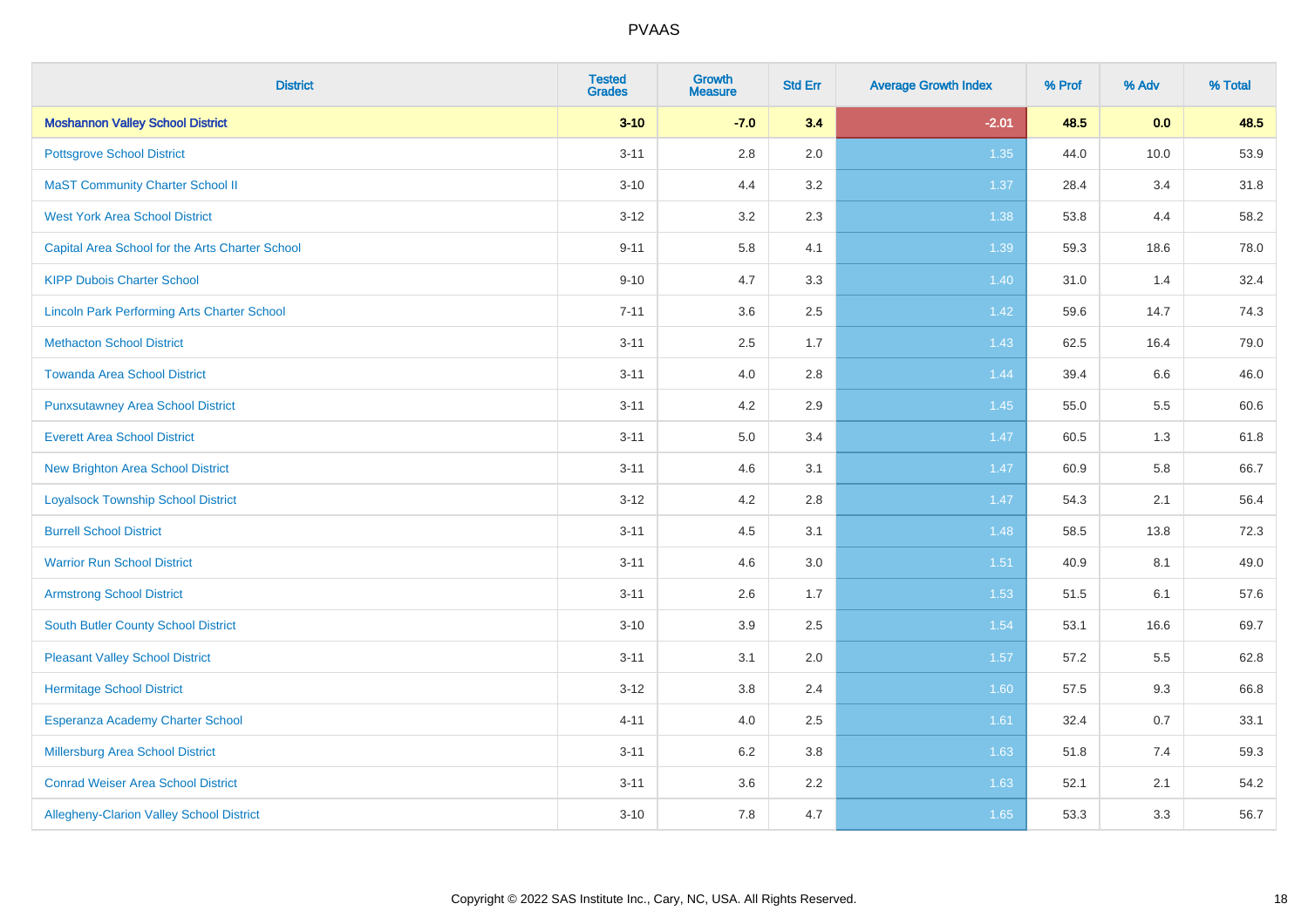| <b>District</b>                                    | <b>Tested</b><br><b>Grades</b> | <b>Growth</b><br><b>Measure</b> | <b>Std Err</b> | <b>Average Growth Index</b> | % Prof | % Adv | % Total |
|----------------------------------------------------|--------------------------------|---------------------------------|----------------|-----------------------------|--------|-------|---------|
| <b>Moshannon Valley School District</b>            | $3 - 10$                       | $-7.0$                          | 3.4            | $-2.01$                     | 48.5   | 0.0   | 48.5    |
| <b>Pottsgrove School District</b>                  | $3 - 11$                       | $2.8\,$                         | 2.0            | 1.35                        | 44.0   | 10.0  | 53.9    |
| <b>MaST Community Charter School II</b>            | $3 - 10$                       | 4.4                             | 3.2            | 1.37                        | 28.4   | 3.4   | 31.8    |
| <b>West York Area School District</b>              | $3 - 12$                       | 3.2                             | 2.3            | 1.38                        | 53.8   | 4.4   | 58.2    |
| Capital Area School for the Arts Charter School    | $9 - 11$                       | 5.8                             | 4.1            | 1.39                        | 59.3   | 18.6  | 78.0    |
| <b>KIPP Dubois Charter School</b>                  | $9 - 10$                       | 4.7                             | 3.3            | 1.40                        | 31.0   | 1.4   | 32.4    |
| <b>Lincoln Park Performing Arts Charter School</b> | $7 - 11$                       | 3.6                             | 2.5            | 1.42                        | 59.6   | 14.7  | 74.3    |
| <b>Methacton School District</b>                   | $3 - 11$                       | 2.5                             | 1.7            | 1.43                        | 62.5   | 16.4  | 79.0    |
| <b>Towanda Area School District</b>                | $3 - 11$                       | 4.0                             | 2.8            | 1.44                        | 39.4   | 6.6   | 46.0    |
| <b>Punxsutawney Area School District</b>           | $3 - 11$                       | 4.2                             | 2.9            | 1.45                        | 55.0   | 5.5   | 60.6    |
| <b>Everett Area School District</b>                | $3 - 11$                       | 5.0                             | 3.4            | 1.47                        | 60.5   | 1.3   | 61.8    |
| <b>New Brighton Area School District</b>           | $3 - 11$                       | 4.6                             | 3.1            | $1.47$                      | 60.9   | 5.8   | 66.7    |
| <b>Loyalsock Township School District</b>          | $3 - 12$                       | 4.2                             | 2.8            | 1.47                        | 54.3   | 2.1   | 56.4    |
| <b>Burrell School District</b>                     | $3 - 11$                       | 4.5                             | 3.1            | 1.48                        | 58.5   | 13.8  | 72.3    |
| <b>Warrior Run School District</b>                 | $3 - 11$                       | 4.6                             | 3.0            | 1.51                        | 40.9   | 8.1   | 49.0    |
| <b>Armstrong School District</b>                   | $3 - 11$                       | 2.6                             | 1.7            | 1.53                        | 51.5   | 6.1   | 57.6    |
| <b>South Butler County School District</b>         | $3 - 10$                       | 3.9                             | 2.5            | 1.54                        | 53.1   | 16.6  | 69.7    |
| <b>Pleasant Valley School District</b>             | $3 - 11$                       | 3.1                             | 2.0            | 1.57                        | 57.2   | 5.5   | 62.8    |
| <b>Hermitage School District</b>                   | $3 - 12$                       | $3.8\,$                         | 2.4            | 1.60                        | 57.5   | 9.3   | 66.8    |
| Esperanza Academy Charter School                   | $4 - 11$                       | 4.0                             | 2.5            | 1.61                        | 32.4   | 0.7   | 33.1    |
| <b>Millersburg Area School District</b>            | $3 - 11$                       | 6.2                             | 3.8            | 1.63                        | 51.8   | 7.4   | 59.3    |
| <b>Conrad Weiser Area School District</b>          | $3 - 11$                       | 3.6                             | 2.2            | 1.63                        | 52.1   | 2.1   | 54.2    |
| Allegheny-Clarion Valley School District           | $3 - 10$                       | 7.8                             | 4.7            | 1.65                        | 53.3   | 3.3   | 56.7    |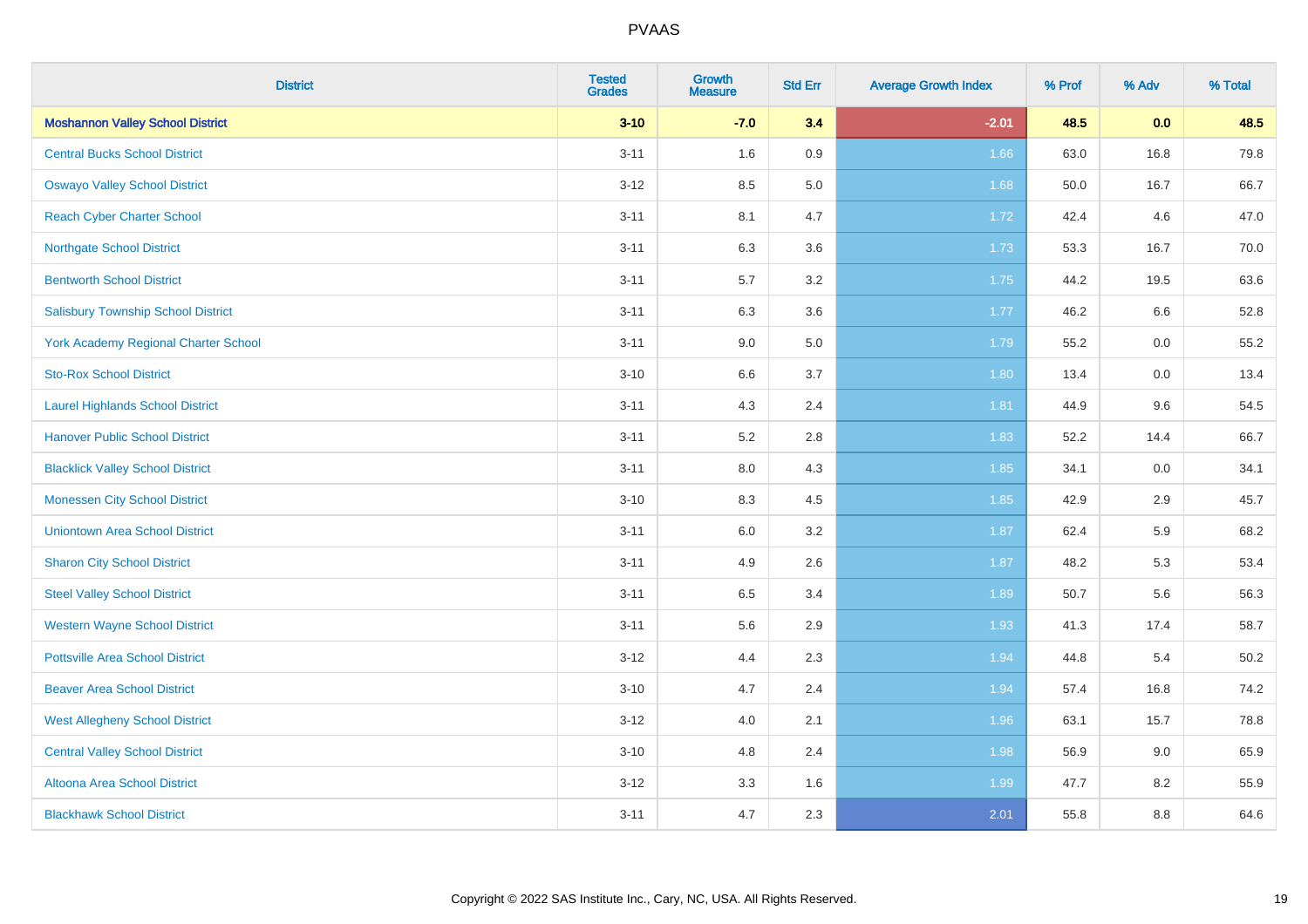| <b>District</b>                           | <b>Tested</b><br><b>Grades</b> | <b>Growth</b><br><b>Measure</b> | <b>Std Err</b> | <b>Average Growth Index</b> | % Prof | % Adv | % Total |
|-------------------------------------------|--------------------------------|---------------------------------|----------------|-----------------------------|--------|-------|---------|
| <b>Moshannon Valley School District</b>   | $3 - 10$                       | $-7.0$                          | 3.4            | $-2.01$                     | 48.5   | 0.0   | 48.5    |
| <b>Central Bucks School District</b>      | $3 - 11$                       | 1.6                             | 0.9            | 1.66                        | 63.0   | 16.8  | 79.8    |
| <b>Oswayo Valley School District</b>      | $3 - 12$                       | 8.5                             | 5.0            | 1.68                        | 50.0   | 16.7  | 66.7    |
| <b>Reach Cyber Charter School</b>         | $3 - 11$                       | 8.1                             | 4.7            | 1.72                        | 42.4   | 4.6   | 47.0    |
| <b>Northgate School District</b>          | $3 - 11$                       | 6.3                             | 3.6            | 1.73                        | 53.3   | 16.7  | 70.0    |
| <b>Bentworth School District</b>          | $3 - 11$                       | 5.7                             | 3.2            | 1.75                        | 44.2   | 19.5  | 63.6    |
| <b>Salisbury Township School District</b> | $3 - 11$                       | 6.3                             | 3.6            | 1.77                        | 46.2   | 6.6   | 52.8    |
| York Academy Regional Charter School      | $3 - 11$                       | 9.0                             | 5.0            | 1.79                        | 55.2   | 0.0   | 55.2    |
| <b>Sto-Rox School District</b>            | $3 - 10$                       | $6.6\,$                         | 3.7            | 1.80                        | 13.4   | 0.0   | 13.4    |
| <b>Laurel Highlands School District</b>   | $3 - 11$                       | 4.3                             | 2.4            | 1.81                        | 44.9   | 9.6   | 54.5    |
| <b>Hanover Public School District</b>     | $3 - 11$                       | 5.2                             | 2.8            | 1.83                        | 52.2   | 14.4  | 66.7    |
| <b>Blacklick Valley School District</b>   | $3 - 11$                       | 8.0                             | 4.3            | 1.85                        | 34.1   | 0.0   | 34.1    |
| <b>Monessen City School District</b>      | $3 - 10$                       | 8.3                             | 4.5            | 1.85                        | 42.9   | 2.9   | 45.7    |
| <b>Uniontown Area School District</b>     | $3 - 11$                       | 6.0                             | 3.2            | 1.87                        | 62.4   | 5.9   | 68.2    |
| <b>Sharon City School District</b>        | $3 - 11$                       | 4.9                             | 2.6            | 1.87                        | 48.2   | 5.3   | 53.4    |
| <b>Steel Valley School District</b>       | $3 - 11$                       | 6.5                             | 3.4            | 1.89                        | 50.7   | 5.6   | 56.3    |
| <b>Western Wayne School District</b>      | $3 - 11$                       | 5.6                             | 2.9            | 1.93                        | 41.3   | 17.4  | 58.7    |
| <b>Pottsville Area School District</b>    | $3 - 12$                       | 4.4                             | 2.3            | 1.94                        | 44.8   | 5.4   | 50.2    |
| <b>Beaver Area School District</b>        | $3 - 10$                       | 4.7                             | 2.4            | 1.94                        | 57.4   | 16.8  | 74.2    |
| <b>West Allegheny School District</b>     | $3 - 12$                       | 4.0                             | 2.1            | 1.96                        | 63.1   | 15.7  | 78.8    |
| <b>Central Valley School District</b>     | $3 - 10$                       | 4.8                             | 2.4            | 1.98                        | 56.9   | 9.0   | 65.9    |
| Altoona Area School District              | $3 - 12$                       | 3.3                             | 1.6            | 1.99                        | 47.7   | 8.2   | 55.9    |
| <b>Blackhawk School District</b>          | $3 - 11$                       | 4.7                             | 2.3            | 2.01                        | 55.8   | 8.8   | 64.6    |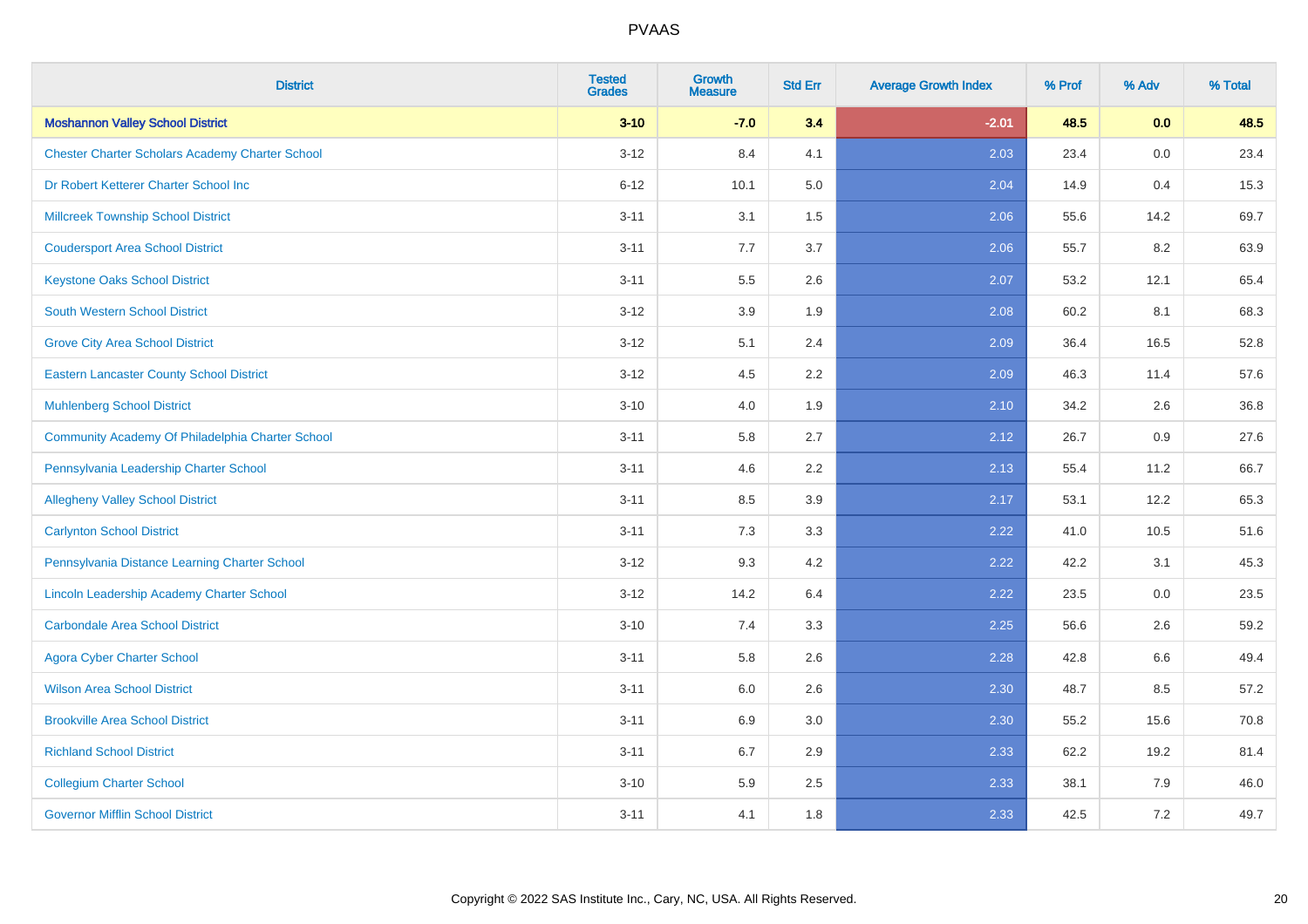| <b>District</b>                                        | <b>Tested</b><br><b>Grades</b> | <b>Growth</b><br><b>Measure</b> | <b>Std Err</b> | <b>Average Growth Index</b> | % Prof | % Adv   | % Total |
|--------------------------------------------------------|--------------------------------|---------------------------------|----------------|-----------------------------|--------|---------|---------|
| <b>Moshannon Valley School District</b>                | $3 - 10$                       | $-7.0$                          | 3.4            | $-2.01$                     | 48.5   | 0.0     | 48.5    |
| <b>Chester Charter Scholars Academy Charter School</b> | $3 - 12$                       | 8.4                             | 4.1            | 2.03                        | 23.4   | $0.0\,$ | 23.4    |
| Dr Robert Ketterer Charter School Inc                  | $6 - 12$                       | 10.1                            | 5.0            | 2.04                        | 14.9   | 0.4     | 15.3    |
| <b>Millcreek Township School District</b>              | $3 - 11$                       | 3.1                             | 1.5            | 2.06                        | 55.6   | 14.2    | 69.7    |
| <b>Coudersport Area School District</b>                | $3 - 11$                       | 7.7                             | 3.7            | 2.06                        | 55.7   | 8.2     | 63.9    |
| <b>Keystone Oaks School District</b>                   | $3 - 11$                       | 5.5                             | 2.6            | 2.07                        | 53.2   | 12.1    | 65.4    |
| <b>South Western School District</b>                   | $3 - 12$                       | 3.9                             | 1.9            | 2.08                        | 60.2   | 8.1     | 68.3    |
| <b>Grove City Area School District</b>                 | $3 - 12$                       | 5.1                             | 2.4            | 2.09                        | 36.4   | 16.5    | 52.8    |
| <b>Eastern Lancaster County School District</b>        | $3 - 12$                       | 4.5                             | 2.2            | 2.09                        | 46.3   | 11.4    | 57.6    |
| <b>Muhlenberg School District</b>                      | $3 - 10$                       | 4.0                             | 1.9            | 2.10                        | 34.2   | 2.6     | 36.8    |
| Community Academy Of Philadelphia Charter School       | $3 - 11$                       | 5.8                             | 2.7            | 2.12                        | 26.7   | 0.9     | 27.6    |
| Pennsylvania Leadership Charter School                 | $3 - 11$                       | 4.6                             | 2.2            | 2.13                        | 55.4   | 11.2    | 66.7    |
| <b>Allegheny Valley School District</b>                | $3 - 11$                       | 8.5                             | 3.9            | 2.17                        | 53.1   | 12.2    | 65.3    |
| <b>Carlynton School District</b>                       | $3 - 11$                       | 7.3                             | 3.3            | 2.22                        | 41.0   | 10.5    | 51.6    |
| Pennsylvania Distance Learning Charter School          | $3 - 12$                       | 9.3                             | 4.2            | 2.22                        | 42.2   | 3.1     | 45.3    |
| Lincoln Leadership Academy Charter School              | $3 - 12$                       | 14.2                            | 6.4            | 2.22                        | 23.5   | $0.0\,$ | 23.5    |
| <b>Carbondale Area School District</b>                 | $3 - 10$                       | 7.4                             | 3.3            | 2.25                        | 56.6   | 2.6     | 59.2    |
| <b>Agora Cyber Charter School</b>                      | $3 - 11$                       | 5.8                             | 2.6            | 2.28                        | 42.8   | 6.6     | 49.4    |
| <b>Wilson Area School District</b>                     | $3 - 11$                       | 6.0                             | 2.6            | 2.30                        | 48.7   | 8.5     | 57.2    |
| <b>Brookville Area School District</b>                 | $3 - 11$                       | 6.9                             | 3.0            | 2.30                        | 55.2   | 15.6    | 70.8    |
| <b>Richland School District</b>                        | $3 - 11$                       | 6.7                             | 2.9            | 2.33                        | 62.2   | 19.2    | 81.4    |
| <b>Collegium Charter School</b>                        | $3 - 10$                       | 5.9                             | 2.5            | 2.33                        | 38.1   | 7.9     | 46.0    |
| <b>Governor Mifflin School District</b>                | $3 - 11$                       | 4.1                             | 1.8            | 2.33                        | 42.5   | 7.2     | 49.7    |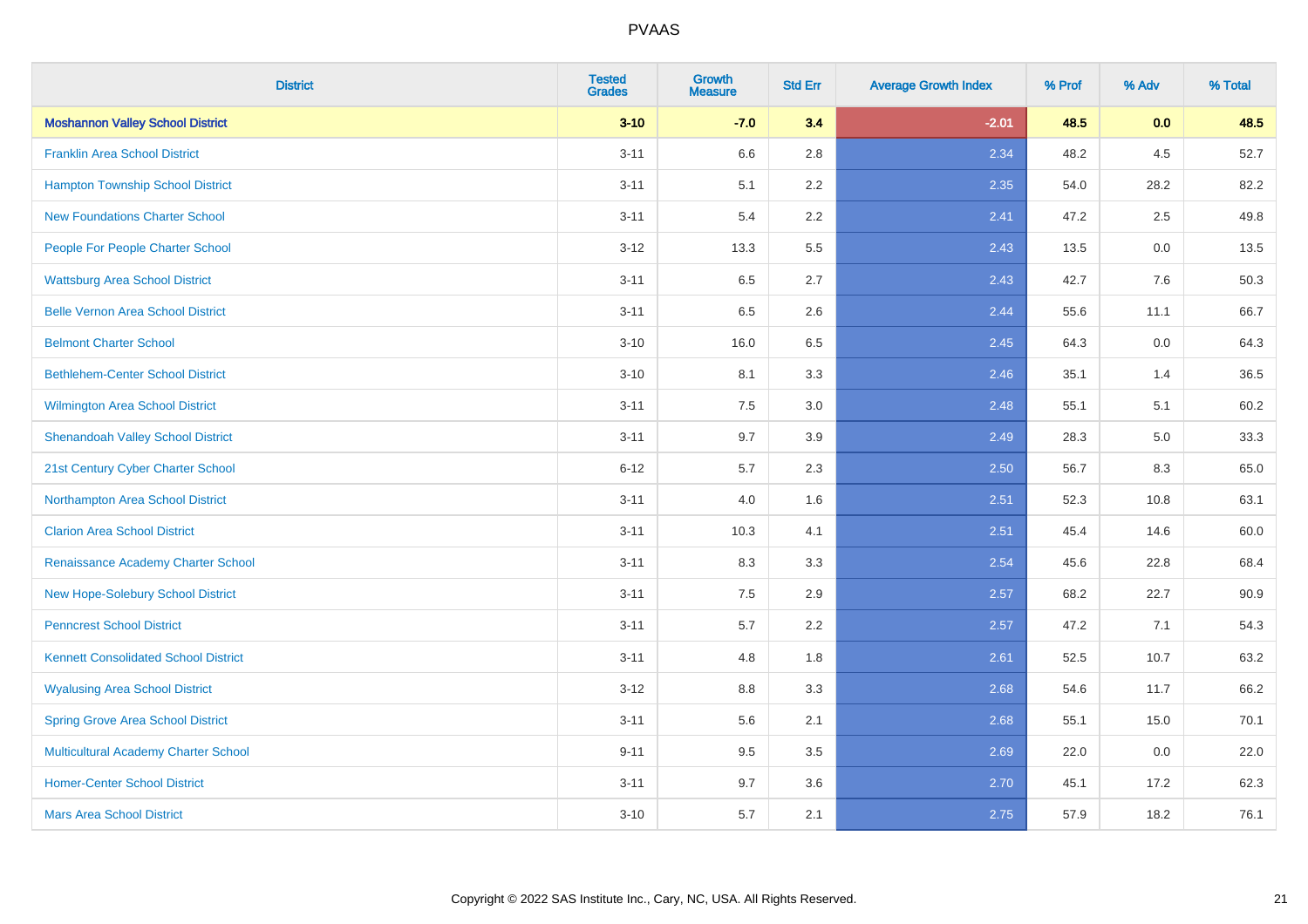| <b>District</b>                             | <b>Tested</b><br><b>Grades</b> | <b>Growth</b><br><b>Measure</b> | <b>Std Err</b> | <b>Average Growth Index</b> | % Prof | % Adv | % Total |
|---------------------------------------------|--------------------------------|---------------------------------|----------------|-----------------------------|--------|-------|---------|
| <b>Moshannon Valley School District</b>     | $3 - 10$                       | $-7.0$                          | 3.4            | $-2.01$                     | 48.5   | 0.0   | 48.5    |
| <b>Franklin Area School District</b>        | $3 - 11$                       | 6.6                             | 2.8            | 2.34                        | 48.2   | 4.5   | 52.7    |
| <b>Hampton Township School District</b>     | $3 - 11$                       | 5.1                             | 2.2            | 2.35                        | 54.0   | 28.2  | 82.2    |
| <b>New Foundations Charter School</b>       | $3 - 11$                       | 5.4                             | 2.2            | 2.41                        | 47.2   | 2.5   | 49.8    |
| People For People Charter School            | $3 - 12$                       | 13.3                            | 5.5            | 2.43                        | 13.5   | 0.0   | 13.5    |
| <b>Wattsburg Area School District</b>       | $3 - 11$                       | 6.5                             | 2.7            | 2.43                        | 42.7   | 7.6   | 50.3    |
| <b>Belle Vernon Area School District</b>    | $3 - 11$                       | 6.5                             | 2.6            | 2.44                        | 55.6   | 11.1  | 66.7    |
| <b>Belmont Charter School</b>               | $3 - 10$                       | 16.0                            | 6.5            | 2.45                        | 64.3   | 0.0   | 64.3    |
| <b>Bethlehem-Center School District</b>     | $3 - 10$                       | 8.1                             | 3.3            | 2.46                        | 35.1   | 1.4   | 36.5    |
| <b>Wilmington Area School District</b>      | $3 - 11$                       | 7.5                             | 3.0            | 2.48                        | 55.1   | 5.1   | 60.2    |
| <b>Shenandoah Valley School District</b>    | $3 - 11$                       | 9.7                             | 3.9            | 2.49                        | 28.3   | 5.0   | 33.3    |
| 21st Century Cyber Charter School           | $6 - 12$                       | 5.7                             | 2.3            | 2.50                        | 56.7   | 8.3   | 65.0    |
| Northampton Area School District            | $3 - 11$                       | 4.0                             | 1.6            | 2.51                        | 52.3   | 10.8  | 63.1    |
| <b>Clarion Area School District</b>         | $3 - 11$                       | 10.3                            | 4.1            | 2.51                        | 45.4   | 14.6  | 60.0    |
| Renaissance Academy Charter School          | $3 - 11$                       | 8.3                             | 3.3            | 2.54                        | 45.6   | 22.8  | 68.4    |
| New Hope-Solebury School District           | $3 - 11$                       | $7.5\,$                         | 2.9            | 2.57                        | 68.2   | 22.7  | 90.9    |
| <b>Penncrest School District</b>            | $3 - 11$                       | 5.7                             | 2.2            | 2.57                        | 47.2   | 7.1   | 54.3    |
| <b>Kennett Consolidated School District</b> | $3 - 11$                       | 4.8                             | 1.8            | 2.61                        | 52.5   | 10.7  | 63.2    |
| <b>Wyalusing Area School District</b>       | $3 - 12$                       | $8.8\,$                         | 3.3            | 2.68                        | 54.6   | 11.7  | 66.2    |
| <b>Spring Grove Area School District</b>    | $3 - 11$                       | 5.6                             | 2.1            | 2.68                        | 55.1   | 15.0  | 70.1    |
| <b>Multicultural Academy Charter School</b> | $9 - 11$                       | 9.5                             | 3.5            | 2.69                        | 22.0   | 0.0   | 22.0    |
| <b>Homer-Center School District</b>         | $3 - 11$                       | 9.7                             | 3.6            | 2.70                        | 45.1   | 17.2  | 62.3    |
| <b>Mars Area School District</b>            | $3 - 10$                       | 5.7                             | 2.1            | 2.75                        | 57.9   | 18.2  | 76.1    |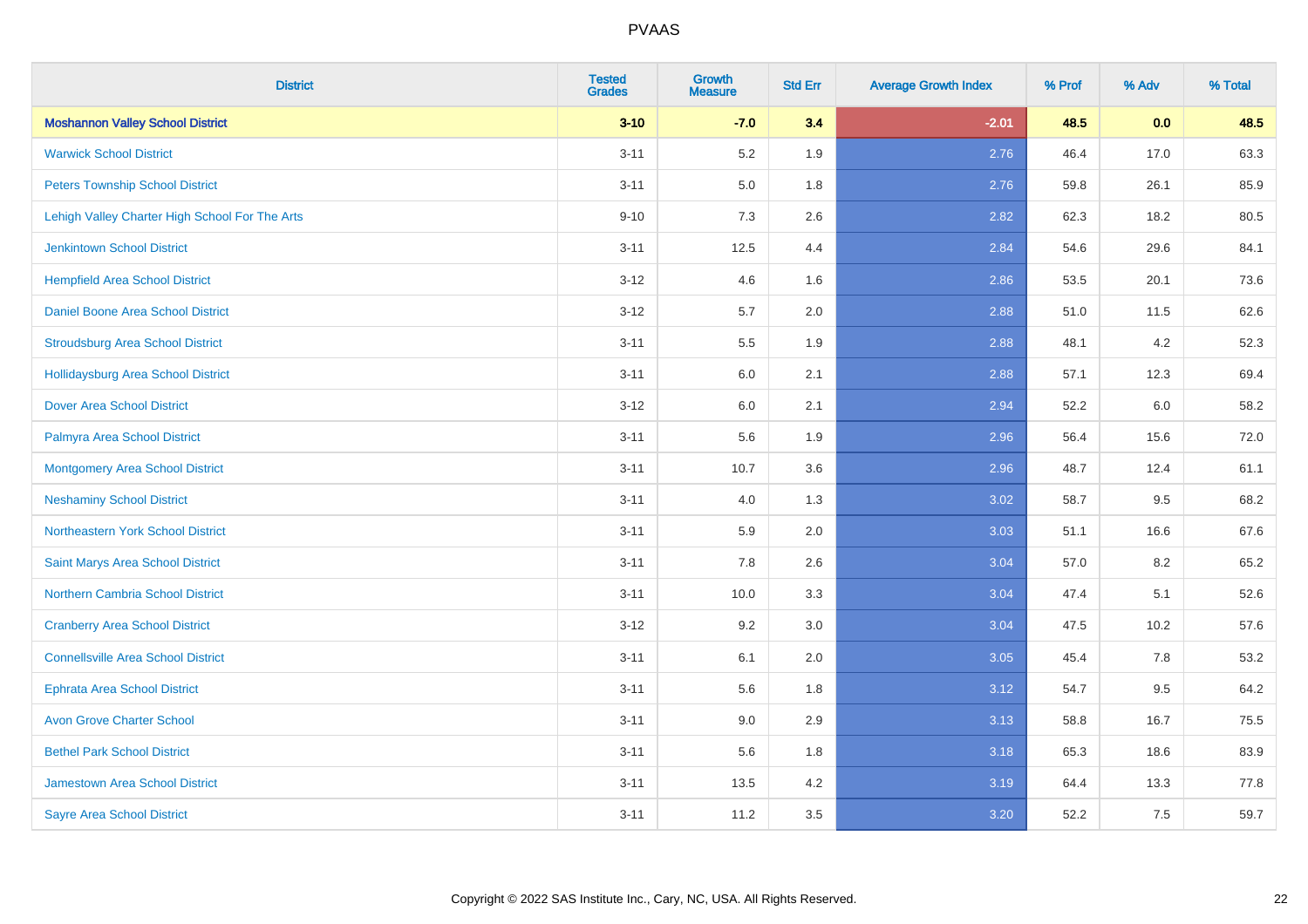| <b>District</b>                                | <b>Tested</b><br><b>Grades</b> | <b>Growth</b><br><b>Measure</b> | <b>Std Err</b> | <b>Average Growth Index</b> | % Prof | % Adv | % Total |
|------------------------------------------------|--------------------------------|---------------------------------|----------------|-----------------------------|--------|-------|---------|
| <b>Moshannon Valley School District</b>        | $3 - 10$                       | $-7.0$                          | 3.4            | $-2.01$                     | 48.5   | 0.0   | 48.5    |
| <b>Warwick School District</b>                 | $3 - 11$                       | 5.2                             | 1.9            | 2.76                        | 46.4   | 17.0  | 63.3    |
| <b>Peters Township School District</b>         | $3 - 11$                       | 5.0                             | 1.8            | 2.76                        | 59.8   | 26.1  | 85.9    |
| Lehigh Valley Charter High School For The Arts | $9 - 10$                       | $7.3$                           | 2.6            | 2.82                        | 62.3   | 18.2  | 80.5    |
| Jenkintown School District                     | $3 - 11$                       | 12.5                            | 4.4            | 2.84                        | 54.6   | 29.6  | 84.1    |
| <b>Hempfield Area School District</b>          | $3 - 12$                       | 4.6                             | 1.6            | 2.86                        | 53.5   | 20.1  | 73.6    |
| Daniel Boone Area School District              | $3 - 12$                       | 5.7                             | 2.0            | 2.88                        | 51.0   | 11.5  | 62.6    |
| <b>Stroudsburg Area School District</b>        | $3 - 11$                       | 5.5                             | 1.9            | 2.88                        | 48.1   | 4.2   | 52.3    |
| <b>Hollidaysburg Area School District</b>      | $3 - 11$                       | 6.0                             | 2.1            | 2.88                        | 57.1   | 12.3  | 69.4    |
| <b>Dover Area School District</b>              | $3 - 12$                       | 6.0                             | 2.1            | 2.94                        | 52.2   | 6.0   | 58.2    |
| Palmyra Area School District                   | $3 - 11$                       | 5.6                             | 1.9            | 2.96                        | 56.4   | 15.6  | 72.0    |
| <b>Montgomery Area School District</b>         | $3 - 11$                       | 10.7                            | 3.6            | 2.96                        | 48.7   | 12.4  | 61.1    |
| <b>Neshaminy School District</b>               | $3 - 11$                       | 4.0                             | 1.3            | 3.02                        | 58.7   | 9.5   | 68.2    |
| Northeastern York School District              | $3 - 11$                       | 5.9                             | 2.0            | 3.03                        | 51.1   | 16.6  | 67.6    |
| Saint Marys Area School District               | $3 - 11$                       | 7.8                             | 2.6            | 3.04                        | 57.0   | 8.2   | 65.2    |
| <b>Northern Cambria School District</b>        | $3 - 11$                       | 10.0                            | 3.3            | 3.04                        | 47.4   | 5.1   | 52.6    |
| <b>Cranberry Area School District</b>          | $3 - 12$                       | 9.2                             | 3.0            | 3.04                        | 47.5   | 10.2  | 57.6    |
| <b>Connellsville Area School District</b>      | $3 - 11$                       | 6.1                             | 2.0            | 3.05                        | 45.4   | 7.8   | 53.2    |
| <b>Ephrata Area School District</b>            | $3 - 11$                       | 5.6                             | 1.8            | 3.12                        | 54.7   | 9.5   | 64.2    |
| <b>Avon Grove Charter School</b>               | $3 - 11$                       | 9.0                             | 2.9            | 3.13                        | 58.8   | 16.7  | 75.5    |
| <b>Bethel Park School District</b>             | $3 - 11$                       | 5.6                             | 1.8            | 3.18                        | 65.3   | 18.6  | 83.9    |
| Jamestown Area School District                 | $3 - 11$                       | 13.5                            | 4.2            | 3.19                        | 64.4   | 13.3  | 77.8    |
| <b>Sayre Area School District</b>              | $3 - 11$                       | 11.2                            | 3.5            | 3.20                        | 52.2   | 7.5   | 59.7    |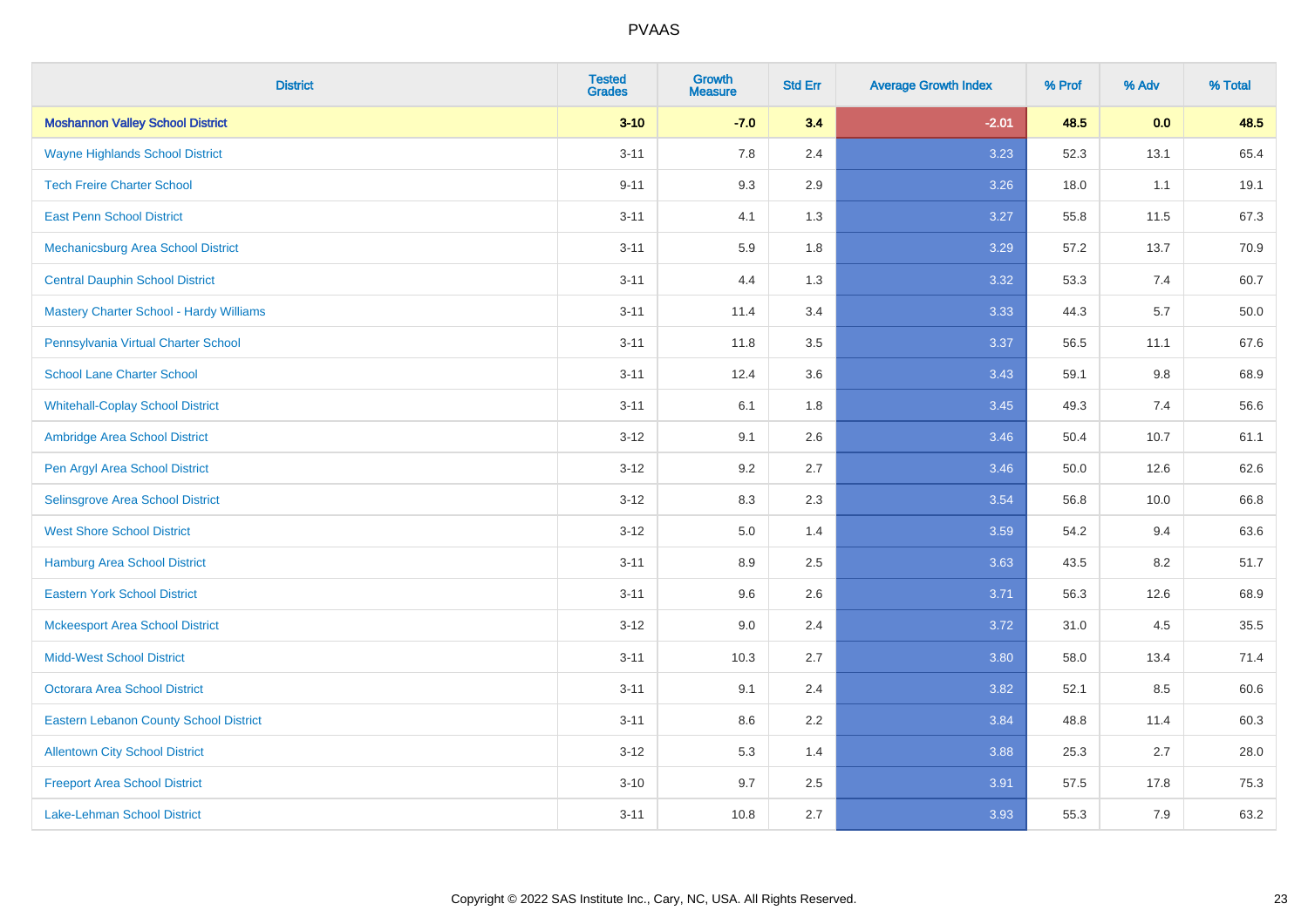| <b>District</b>                                | <b>Tested</b><br><b>Grades</b> | <b>Growth</b><br><b>Measure</b> | <b>Std Err</b> | <b>Average Growth Index</b> | % Prof | % Adv | % Total |
|------------------------------------------------|--------------------------------|---------------------------------|----------------|-----------------------------|--------|-------|---------|
| <b>Moshannon Valley School District</b>        | $3 - 10$                       | $-7.0$                          | 3.4            | $-2.01$                     | 48.5   | 0.0   | 48.5    |
| <b>Wayne Highlands School District</b>         | $3 - 11$                       | 7.8                             | 2.4            | 3.23                        | 52.3   | 13.1  | 65.4    |
| <b>Tech Freire Charter School</b>              | $9 - 11$                       | 9.3                             | 2.9            | 3.26                        | 18.0   | 1.1   | 19.1    |
| <b>East Penn School District</b>               | $3 - 11$                       | 4.1                             | 1.3            | 3.27                        | 55.8   | 11.5  | 67.3    |
| Mechanicsburg Area School District             | $3 - 11$                       | 5.9                             | 1.8            | 3.29                        | 57.2   | 13.7  | 70.9    |
| <b>Central Dauphin School District</b>         | $3 - 11$                       | 4.4                             | 1.3            | 3.32                        | 53.3   | 7.4   | 60.7    |
| <b>Mastery Charter School - Hardy Williams</b> | $3 - 11$                       | 11.4                            | 3.4            | 3.33                        | 44.3   | 5.7   | 50.0    |
| Pennsylvania Virtual Charter School            | $3 - 11$                       | 11.8                            | 3.5            | 3.37                        | 56.5   | 11.1  | 67.6    |
| <b>School Lane Charter School</b>              | $3 - 11$                       | 12.4                            | 3.6            | 3.43                        | 59.1   | 9.8   | 68.9    |
| <b>Whitehall-Coplay School District</b>        | $3 - 11$                       | 6.1                             | 1.8            | 3.45                        | 49.3   | 7.4   | 56.6    |
| Ambridge Area School District                  | $3 - 12$                       | 9.1                             | 2.6            | 3.46                        | 50.4   | 10.7  | 61.1    |
| Pen Argyl Area School District                 | $3 - 12$                       | 9.2                             | 2.7            | 3.46                        | 50.0   | 12.6  | 62.6    |
| Selinsgrove Area School District               | $3 - 12$                       | 8.3                             | 2.3            | 3.54                        | 56.8   | 10.0  | 66.8    |
| <b>West Shore School District</b>              | $3 - 12$                       | 5.0                             | 1.4            | 3.59                        | 54.2   | 9.4   | 63.6    |
| <b>Hamburg Area School District</b>            | $3 - 11$                       | 8.9                             | 2.5            | 3.63                        | 43.5   | 8.2   | 51.7    |
| <b>Eastern York School District</b>            | $3 - 11$                       | 9.6                             | 2.6            | 3.71                        | 56.3   | 12.6  | 68.9    |
| <b>Mckeesport Area School District</b>         | $3 - 12$                       | 9.0                             | 2.4            | 3.72                        | 31.0   | 4.5   | 35.5    |
| <b>Midd-West School District</b>               | $3 - 11$                       | 10.3                            | 2.7            | 3.80                        | 58.0   | 13.4  | 71.4    |
| <b>Octorara Area School District</b>           | $3 - 11$                       | 9.1                             | 2.4            | 3.82                        | 52.1   | 8.5   | 60.6    |
| <b>Eastern Lebanon County School District</b>  | $3 - 11$                       | 8.6                             | 2.2            | 3.84                        | 48.8   | 11.4  | 60.3    |
| <b>Allentown City School District</b>          | $3 - 12$                       | 5.3                             | 1.4            | 3.88                        | 25.3   | 2.7   | 28.0    |
| <b>Freeport Area School District</b>           | $3 - 10$                       | 9.7                             | 2.5            | 3.91                        | 57.5   | 17.8  | 75.3    |
| <b>Lake-Lehman School District</b>             | $3 - 11$                       | 10.8                            | 2.7            | 3.93                        | 55.3   | 7.9   | 63.2    |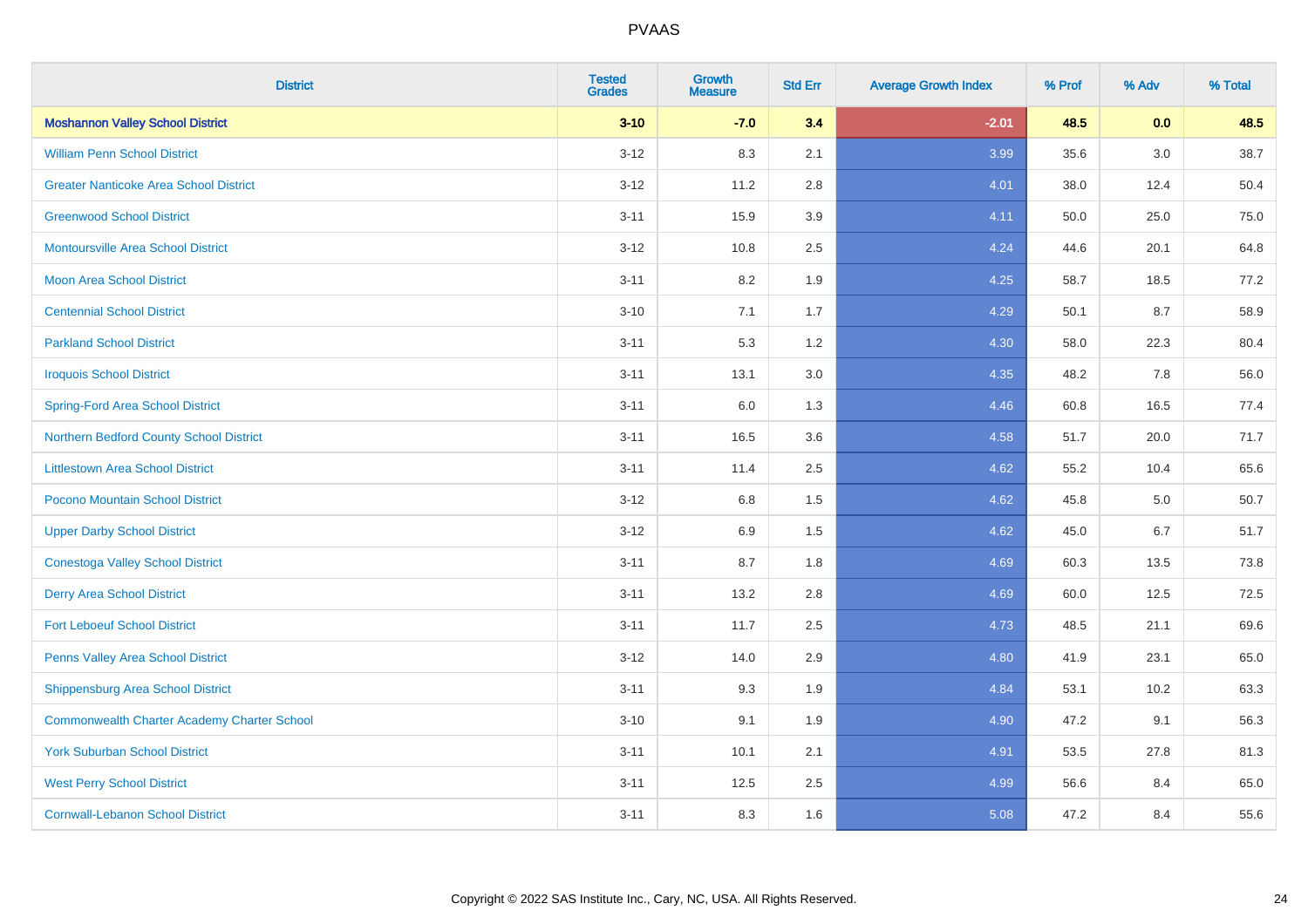| <b>District</b>                                    | <b>Tested</b><br><b>Grades</b> | <b>Growth</b><br><b>Measure</b> | <b>Std Err</b> | <b>Average Growth Index</b> | % Prof | % Adv   | % Total |
|----------------------------------------------------|--------------------------------|---------------------------------|----------------|-----------------------------|--------|---------|---------|
| <b>Moshannon Valley School District</b>            | $3 - 10$                       | $-7.0$                          | 3.4            | $-2.01$                     | 48.5   | 0.0     | 48.5    |
| <b>William Penn School District</b>                | $3 - 12$                       | 8.3                             | 2.1            | 3.99                        | 35.6   | $3.0\,$ | 38.7    |
| <b>Greater Nanticoke Area School District</b>      | $3 - 12$                       | 11.2                            | 2.8            | 4.01                        | 38.0   | 12.4    | 50.4    |
| <b>Greenwood School District</b>                   | $3 - 11$                       | 15.9                            | 3.9            | 4.11                        | 50.0   | 25.0    | 75.0    |
| <b>Montoursville Area School District</b>          | $3 - 12$                       | 10.8                            | 2.5            | 4.24                        | 44.6   | 20.1    | 64.8    |
| <b>Moon Area School District</b>                   | $3 - 11$                       | 8.2                             | 1.9            | 4.25                        | 58.7   | 18.5    | 77.2    |
| <b>Centennial School District</b>                  | $3 - 10$                       | 7.1                             | 1.7            | 4.29                        | 50.1   | 8.7     | 58.9    |
| <b>Parkland School District</b>                    | $3 - 11$                       | 5.3                             | 1.2            | 4.30                        | 58.0   | 22.3    | 80.4    |
| <b>Iroquois School District</b>                    | $3 - 11$                       | 13.1                            | 3.0            | 4.35                        | 48.2   | 7.8     | 56.0    |
| <b>Spring-Ford Area School District</b>            | $3 - 11$                       | 6.0                             | 1.3            | 4.46                        | 60.8   | 16.5    | 77.4    |
| Northern Bedford County School District            | $3 - 11$                       | 16.5                            | 3.6            | 4.58                        | 51.7   | 20.0    | 71.7    |
| <b>Littlestown Area School District</b>            | $3 - 11$                       | 11.4                            | 2.5            | 4.62                        | 55.2   | 10.4    | 65.6    |
| Pocono Mountain School District                    | $3 - 12$                       | $6.8\,$                         | 1.5            | 4.62                        | 45.8   | $5.0\,$ | 50.7    |
| <b>Upper Darby School District</b>                 | $3 - 12$                       | 6.9                             | 1.5            | 4.62                        | 45.0   | 6.7     | 51.7    |
| <b>Conestoga Valley School District</b>            | $3 - 11$                       | 8.7                             | 1.8            | 4.69                        | 60.3   | 13.5    | 73.8    |
| <b>Derry Area School District</b>                  | $3 - 11$                       | 13.2                            | 2.8            | 4.69                        | 60.0   | 12.5    | 72.5    |
| <b>Fort Leboeuf School District</b>                | $3 - 11$                       | 11.7                            | 2.5            | 4.73                        | 48.5   | 21.1    | 69.6    |
| Penns Valley Area School District                  | $3 - 12$                       | 14.0                            | 2.9            | 4.80                        | 41.9   | 23.1    | 65.0    |
| Shippensburg Area School District                  | $3 - 11$                       | 9.3                             | 1.9            | 4.84                        | 53.1   | 10.2    | 63.3    |
| <b>Commonwealth Charter Academy Charter School</b> | $3 - 10$                       | 9.1                             | 1.9            | 4.90                        | 47.2   | 9.1     | 56.3    |
| <b>York Suburban School District</b>               | $3 - 11$                       | 10.1                            | 2.1            | 4.91                        | 53.5   | 27.8    | 81.3    |
| <b>West Perry School District</b>                  | $3 - 11$                       | 12.5                            | 2.5            | 4.99                        | 56.6   | 8.4     | 65.0    |
| <b>Cornwall-Lebanon School District</b>            | $3 - 11$                       | 8.3                             | 1.6            | 5.08                        | 47.2   | 8.4     | 55.6    |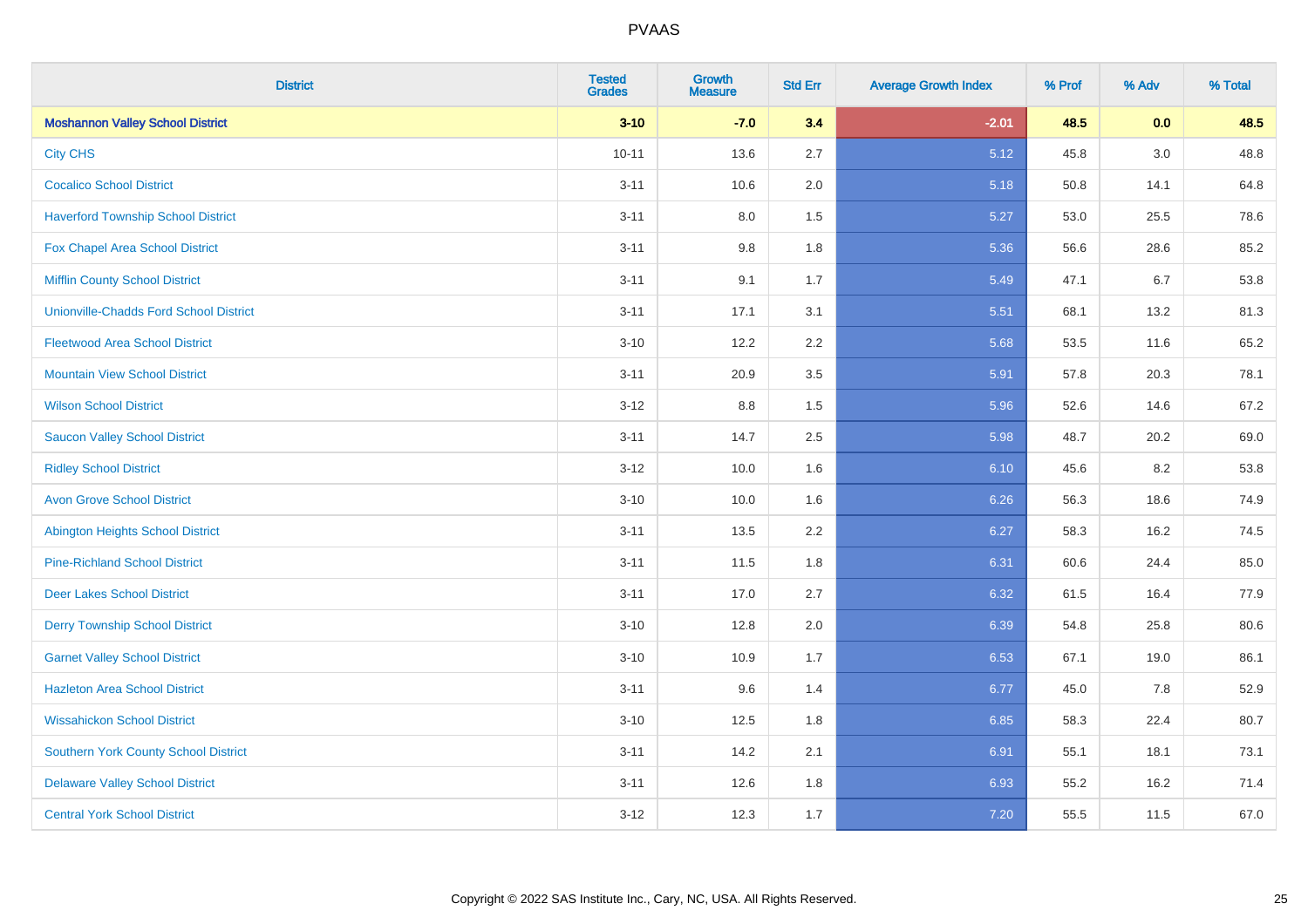| <b>District</b>                               | <b>Tested</b><br><b>Grades</b> | <b>Growth</b><br><b>Measure</b> | <b>Std Err</b> | <b>Average Growth Index</b> | % Prof | % Adv | % Total |
|-----------------------------------------------|--------------------------------|---------------------------------|----------------|-----------------------------|--------|-------|---------|
| <b>Moshannon Valley School District</b>       | $3 - 10$                       | $-7.0$                          | 3.4            | $-2.01$                     | 48.5   | 0.0   | 48.5    |
| <b>City CHS</b>                               | $10 - 11$                      | 13.6                            | 2.7            | 5.12                        | 45.8   | 3.0   | 48.8    |
| <b>Cocalico School District</b>               | $3 - 11$                       | 10.6                            | 2.0            | 5.18                        | 50.8   | 14.1  | 64.8    |
| <b>Haverford Township School District</b>     | $3 - 11$                       | $8.0\,$                         | 1.5            | 5.27                        | 53.0   | 25.5  | 78.6    |
| Fox Chapel Area School District               | $3 - 11$                       | 9.8                             | 1.8            | 5.36                        | 56.6   | 28.6  | 85.2    |
| <b>Mifflin County School District</b>         | $3 - 11$                       | 9.1                             | 1.7            | 5.49                        | 47.1   | 6.7   | 53.8    |
| <b>Unionville-Chadds Ford School District</b> | $3 - 11$                       | 17.1                            | 3.1            | 5.51                        | 68.1   | 13.2  | 81.3    |
| <b>Fleetwood Area School District</b>         | $3 - 10$                       | 12.2                            | 2.2            | 5.68                        | 53.5   | 11.6  | 65.2    |
| <b>Mountain View School District</b>          | $3 - 11$                       | 20.9                            | 3.5            | 5.91                        | 57.8   | 20.3  | 78.1    |
| <b>Wilson School District</b>                 | $3 - 12$                       | 8.8                             | 1.5            | 5.96                        | 52.6   | 14.6  | 67.2    |
| <b>Saucon Valley School District</b>          | $3 - 11$                       | 14.7                            | 2.5            | 5.98                        | 48.7   | 20.2  | 69.0    |
| <b>Ridley School District</b>                 | $3-12$                         | 10.0                            | 1.6            | 6.10                        | 45.6   | 8.2   | 53.8    |
| <b>Avon Grove School District</b>             | $3 - 10$                       | 10.0                            | 1.6            | 6.26                        | 56.3   | 18.6  | 74.9    |
| <b>Abington Heights School District</b>       | $3 - 11$                       | 13.5                            | 2.2            | 6.27                        | 58.3   | 16.2  | 74.5    |
| <b>Pine-Richland School District</b>          | $3 - 11$                       | 11.5                            | 1.8            | 6.31                        | 60.6   | 24.4  | 85.0    |
| Deer Lakes School District                    | $3 - 11$                       | 17.0                            | 2.7            | 6.32                        | 61.5   | 16.4  | 77.9    |
| <b>Derry Township School District</b>         | $3 - 10$                       | 12.8                            | 2.0            | 6.39                        | 54.8   | 25.8  | 80.6    |
| <b>Garnet Valley School District</b>          | $3 - 10$                       | 10.9                            | 1.7            | 6.53                        | 67.1   | 19.0  | 86.1    |
| <b>Hazleton Area School District</b>          | $3 - 11$                       | 9.6                             | 1.4            | 6.77                        | 45.0   | 7.8   | 52.9    |
| <b>Wissahickon School District</b>            | $3 - 10$                       | 12.5                            | 1.8            | 6.85                        | 58.3   | 22.4  | 80.7    |
| <b>Southern York County School District</b>   | $3 - 11$                       | 14.2                            | 2.1            | 6.91                        | 55.1   | 18.1  | 73.1    |
| <b>Delaware Valley School District</b>        | $3 - 11$                       | 12.6                            | 1.8            | 6.93                        | 55.2   | 16.2  | 71.4    |
| <b>Central York School District</b>           | $3-12$                         | 12.3                            | 1.7            | 7.20                        | 55.5   | 11.5  | 67.0    |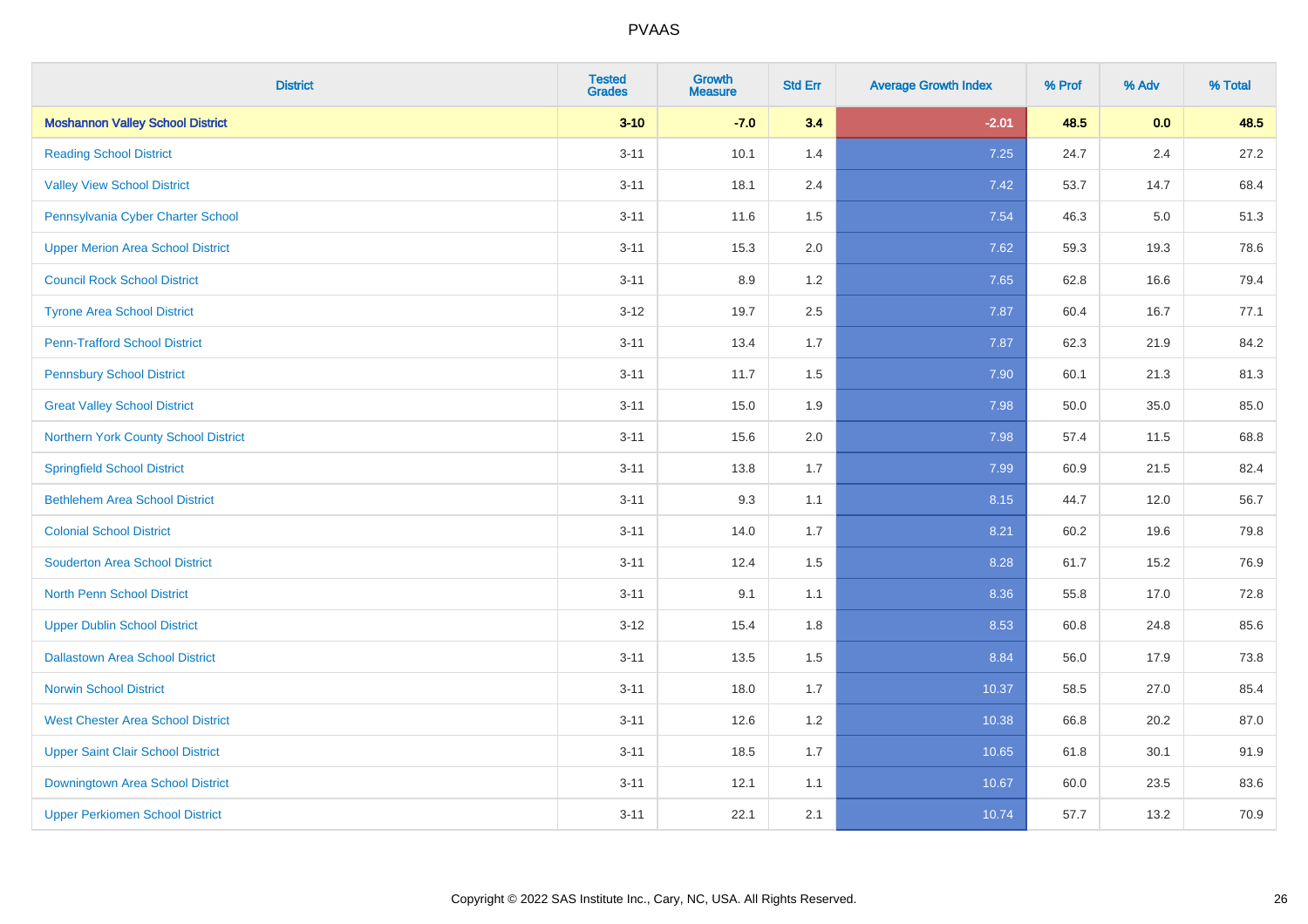| <b>District</b>                          | <b>Tested</b><br><b>Grades</b> | <b>Growth</b><br><b>Measure</b> | <b>Std Err</b> | <b>Average Growth Index</b> | % Prof | % Adv   | % Total |
|------------------------------------------|--------------------------------|---------------------------------|----------------|-----------------------------|--------|---------|---------|
| <b>Moshannon Valley School District</b>  | $3 - 10$                       | $-7.0$                          | 3.4            | $-2.01$                     | 48.5   | 0.0     | 48.5    |
| <b>Reading School District</b>           | $3 - 11$                       | 10.1                            | 1.4            | 7.25                        | 24.7   | $2.4\,$ | 27.2    |
| <b>Valley View School District</b>       | $3 - 11$                       | 18.1                            | 2.4            | 7.42                        | 53.7   | 14.7    | 68.4    |
| Pennsylvania Cyber Charter School        | $3 - 11$                       | 11.6                            | 1.5            | 7.54                        | 46.3   | 5.0     | 51.3    |
| <b>Upper Merion Area School District</b> | $3 - 11$                       | 15.3                            | 2.0            | 7.62                        | 59.3   | 19.3    | 78.6    |
| <b>Council Rock School District</b>      | $3 - 11$                       | 8.9                             | 1.2            | 7.65                        | 62.8   | 16.6    | 79.4    |
| <b>Tyrone Area School District</b>       | $3 - 12$                       | 19.7                            | 2.5            | 7.87                        | 60.4   | 16.7    | 77.1    |
| <b>Penn-Trafford School District</b>     | $3 - 11$                       | 13.4                            | 1.7            | 7.87                        | 62.3   | 21.9    | 84.2    |
| <b>Pennsbury School District</b>         | $3 - 11$                       | 11.7                            | 1.5            | 7.90                        | 60.1   | 21.3    | 81.3    |
| <b>Great Valley School District</b>      | $3 - 11$                       | 15.0                            | 1.9            | 7.98                        | 50.0   | 35.0    | 85.0    |
| Northern York County School District     | $3 - 11$                       | 15.6                            | 2.0            | 7.98                        | 57.4   | 11.5    | 68.8    |
| <b>Springfield School District</b>       | $3 - 11$                       | 13.8                            | 1.7            | 7.99                        | 60.9   | 21.5    | 82.4    |
| <b>Bethlehem Area School District</b>    | $3 - 11$                       | 9.3                             | 1.1            | 8.15                        | 44.7   | 12.0    | 56.7    |
| <b>Colonial School District</b>          | $3 - 11$                       | 14.0                            | 1.7            | 8.21                        | 60.2   | 19.6    | 79.8    |
| <b>Souderton Area School District</b>    | $3 - 11$                       | 12.4                            | 1.5            | 8.28                        | 61.7   | 15.2    | 76.9    |
| <b>North Penn School District</b>        | $3 - 11$                       | 9.1                             | 1.1            | 8.36                        | 55.8   | 17.0    | 72.8    |
| <b>Upper Dublin School District</b>      | $3 - 12$                       | 15.4                            | 1.8            | 8.53                        | 60.8   | 24.8    | 85.6    |
| <b>Dallastown Area School District</b>   | $3 - 11$                       | 13.5                            | 1.5            | 8.84                        | 56.0   | 17.9    | 73.8    |
| <b>Norwin School District</b>            | $3 - 11$                       | 18.0                            | 1.7            | 10.37                       | 58.5   | 27.0    | 85.4    |
| <b>West Chester Area School District</b> | $3 - 11$                       | 12.6                            | 1.2            | 10.38                       | 66.8   | 20.2    | 87.0    |
| <b>Upper Saint Clair School District</b> | $3 - 11$                       | 18.5                            | 1.7            | 10.65                       | 61.8   | 30.1    | 91.9    |
| Downingtown Area School District         | $3 - 11$                       | 12.1                            | 1.1            | 10.67                       | 60.0   | 23.5    | 83.6    |
| <b>Upper Perkiomen School District</b>   | $3 - 11$                       | 22.1                            | 2.1            | 10.74                       | 57.7   | 13.2    | 70.9    |